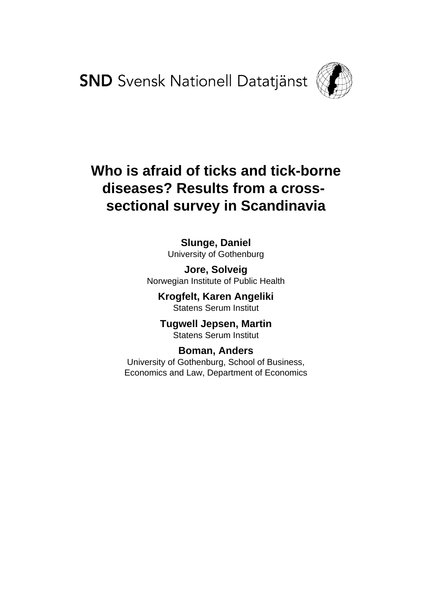**SND** Svensk Nationell Datatjänst



# **Who is afraid of ticks and tick-borne diseases? Results from a crosssectional survey in Scandinavia**

**Slunge, Daniel** University of Gothenburg

**Jore, Solveig** Norwegian Institute of Public Health

**Krogfelt, Karen Angeliki** Statens Serum Institut

**Tugwell Jepsen, Martin** Statens Serum Institut

**Boman, Anders** University of Gothenburg, School of Business, Economics and Law, Department of Economics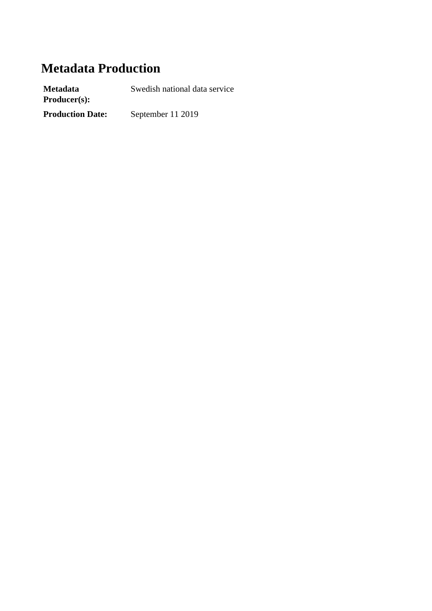# **Metadata Production**

**Metadata Producer(s):** Swedish national data service **Production Date:** September 11 2019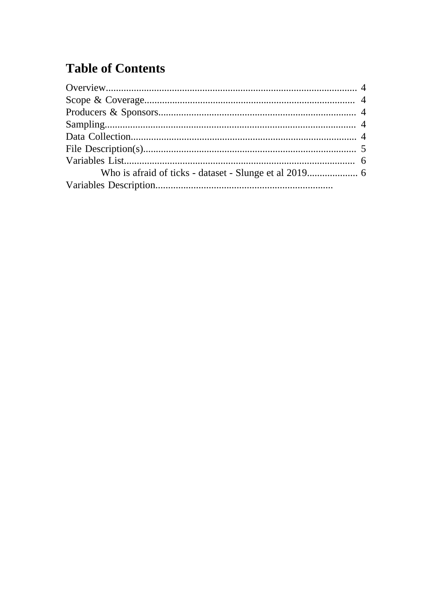# **Table of Contents**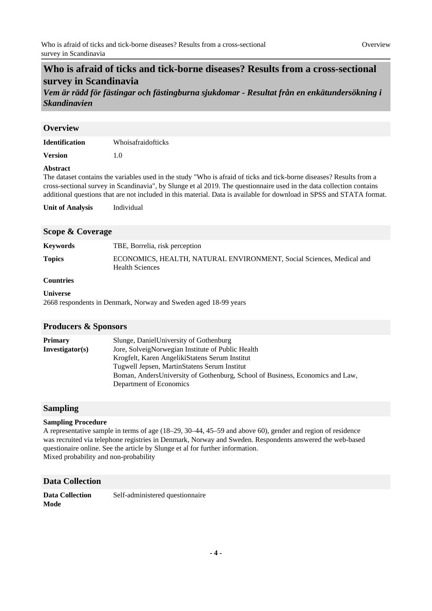### **Who is afraid of ticks and tick-borne diseases? Results from a cross-sectional survey in Scandinavia**

*Vem är rädd för fästingar och fästingburna sjukdomar - Resultat från en enkätundersökning i Skandinavien*

### <span id="page-3-0"></span>**Overview**

| <b>Identification</b> | Whoisafraidofticks |
|-----------------------|--------------------|
|                       |                    |

**Version** 1.0

#### **Abstract**

The dataset contains the variables used in the study "Who is afraid of ticks and tick-borne diseases? Results from a cross-sectional survey in Scandinavia", by Slunge et al 2019. The questionnaire used in the data collection contains additional questions that are not included in this material. Data is available for download in SPSS and STATA format.

**Unit of Analysis** Individual

#### <span id="page-3-1"></span>**Scope & Coverage**

| <b>Keywords</b> | TBE, Borrelia, risk perception                                                                 |
|-----------------|------------------------------------------------------------------------------------------------|
| <b>Topics</b>   | ECONOMICS, HEALTH, NATURAL ENVIRONMENT, Social Sciences, Medical and<br><b>Health Sciences</b> |

#### **Countries**

#### **Universe**

2668 respondents in Denmark, Norway and Sweden aged 18-99 years

### <span id="page-3-2"></span>**Producers & Sponsors**

| Primary         | Slunge, Daniel University of Gothenburg                                       |
|-----------------|-------------------------------------------------------------------------------|
| Investigator(s) | Jore, SolveigNorwegian Institute of Public Health                             |
|                 | Krogfelt, Karen AngelikiStatens Serum Institut                                |
|                 | Tugwell Jepsen, MartinStatens Serum Institut                                  |
|                 | Boman, AndersUniversity of Gothenburg, School of Business, Economics and Law, |
|                 | Department of Economics                                                       |

#### <span id="page-3-3"></span>**Sampling**

#### **Sampling Procedure**

A representative sample in terms of age (18–29, 30–44, 45–59 and above 60), gender and region of residence was recruited via telephone registries in Denmark, Norway and Sweden. Respondents answered the web-based questionaire online. See the article by Slunge et al for further information. Mixed probability and non-probability

#### <span id="page-3-4"></span>**Data Collection**

**Data Collection Mode** Self-administered questionnaire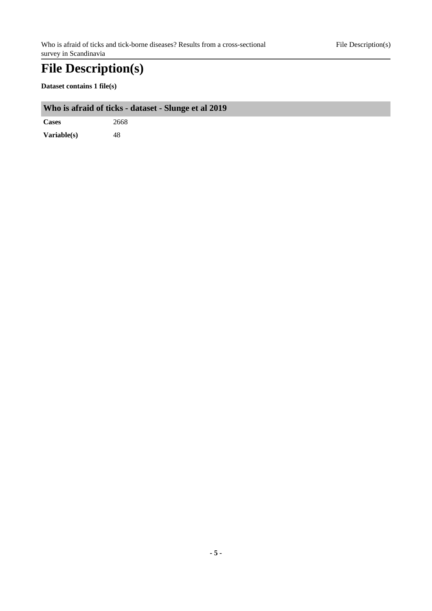# <span id="page-4-0"></span>**File Description(s)**

**Dataset contains 1 file(s)**

| Who is afraid of ticks - dataset - Slunge et al 2019 |  |
|------------------------------------------------------|--|
|                                                      |  |

**Cases** 2668 **Variable(s)** 48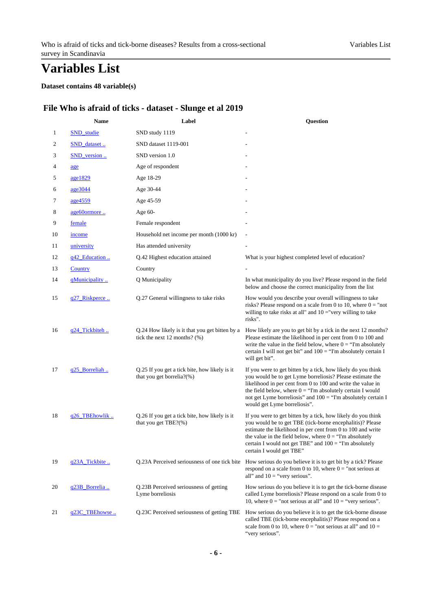## <span id="page-5-0"></span>**Variables List**

### **Dataset contains 48 variable(s)**

<span id="page-5-1"></span>

|    | <b>Name</b>          | Label                                                                               | <b>Question</b>                                                                                                                                                                                                                                                                                                                                           |
|----|----------------------|-------------------------------------------------------------------------------------|-----------------------------------------------------------------------------------------------------------------------------------------------------------------------------------------------------------------------------------------------------------------------------------------------------------------------------------------------------------|
| 1  | SND_studie           | SND study 1119                                                                      |                                                                                                                                                                                                                                                                                                                                                           |
| 2  | SND dataset          | SND dataset 1119-001                                                                |                                                                                                                                                                                                                                                                                                                                                           |
| 3  | SND_version          | SND version 1.0                                                                     |                                                                                                                                                                                                                                                                                                                                                           |
| 4  | age                  | Age of respondent                                                                   |                                                                                                                                                                                                                                                                                                                                                           |
| 5  | age1829              | Age 18-29                                                                           |                                                                                                                                                                                                                                                                                                                                                           |
| 6  | age3044              | Age 30-44                                                                           |                                                                                                                                                                                                                                                                                                                                                           |
| 7  | age4559              | Age 45-59                                                                           |                                                                                                                                                                                                                                                                                                                                                           |
| 8  | age60ormore          | Age 60-                                                                             |                                                                                                                                                                                                                                                                                                                                                           |
| 9  | female               | Female respondent                                                                   |                                                                                                                                                                                                                                                                                                                                                           |
| 10 | income               | Household net income per month (1000 kr)                                            | $\frac{1}{2}$                                                                                                                                                                                                                                                                                                                                             |
| 11 | university           | Has attended university                                                             |                                                                                                                                                                                                                                                                                                                                                           |
| 12 | q42_Education        | Q.42 Highest education attained                                                     | What is your highest completed level of education?                                                                                                                                                                                                                                                                                                        |
| 13 | Country              | Country                                                                             |                                                                                                                                                                                                                                                                                                                                                           |
| 14 | gMunicipality        | Q Municipality                                                                      | In what municipality do you live? Please respond in the field<br>below and choose the correct municipality from the list                                                                                                                                                                                                                                  |
| 15 | q27_Riskperce        | Q.27 General willingness to take risks                                              | How would you describe your overall willingness to take<br>risks? Please respond on a scale from 0 to 10, where $0 =$ "not<br>willing to take risks at all" and $10 =$ "very willing to take<br>risks".                                                                                                                                                   |
| 16 | <u>q24_Tickbiteh</u> | Q.24 How likely is it that you get bitten by a<br>tick the next $12$ months? $(\%)$ | How likely are you to get bit by a tick in the next 12 months?<br>Please estimate the likelihood in per cent from 0 to 100 and<br>write the value in the field below, where $0 = "Tm$ absolutely<br>certain I will not get bit" and $100 =$ "I'm absolutely certain I<br>will get bit".                                                                   |
| 17 | q25_Borreliah        | Q.25 If you get a tick bite, how likely is it<br>that you get borrelia?(%)          | If you were to get bitten by a tick, how likely do you think<br>you would be to get Lyme borreliosis? Please estimate the<br>likelihood in per cent from 0 to 100 and write the value in<br>the field below, where $0 = "I'm$ absolutely certain I would<br>not get Lyme borreliosis" and 100 = "I'm absolutely certain I<br>would get Lyme borreliosis". |
| 18 | q26_TBEhowlik        | Q.26 If you get a tick bite, how likely is it<br>that you get TBE?(%)               | If you were to get bitten by a tick, how likely do you think<br>you would be to get TBE (tick-borne encephalitis)? Please<br>estimate the likelihood in per cent from 0 to 100 and write<br>the value in the field below, where $0 = "Tm$ absolutely<br>certain I would not get TBE" and 100 = "I'm absolutely<br>certain I would get TBE"                |
| 19 | q23A_Tickbite        | Q.23A Perceived seriousness of one tick bite                                        | How serious do you believe it is to get bit by a tick? Please<br>respond on a scale from 0 to 10, where $0 =$ "not serious at<br>all" and $10 =$ "very serious".                                                                                                                                                                                          |
| 20 | q23B_Borrelia        | Q.23B Perceived seriousness of getting<br>Lyme borreliosis                          | How serious do you believe it is to get the tick-borne disease<br>called Lyme borreliosis? Please respond on a scale from 0 to<br>10, where $0 =$ "not serious at all" and $10 =$ "very serious".                                                                                                                                                         |
| 21 | q23C_TBEhowse        | Q.23C Perceived seriousness of getting TBE                                          | How serious do you believe it is to get the tick-borne disease<br>called TBE (tick-borne encephalitis)? Please respond on a<br>scale from 0 to 10, where $0 =$ "not serious at all" and $10 =$<br>"very serious".                                                                                                                                         |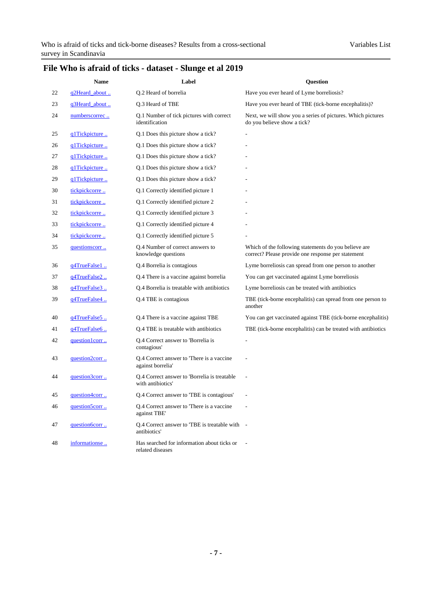|    | Name                  | Label                                                             | <b>Question</b>                                                                                            |
|----|-----------------------|-------------------------------------------------------------------|------------------------------------------------------------------------------------------------------------|
| 22 | q2Heard_about         | Q.2 Heard of borrelia                                             | Have you ever heard of Lyme borreliosis?                                                                   |
| 23 | q3Heard_about         | Q.3 Heard of TBE                                                  | Have you ever heard of TBE (tick-borne encephalitis)?                                                      |
| 24 | numberscorrec         | Q.1 Number of tick pictures with correct<br>identification        | Next, we will show you a series of pictures. Which pictures<br>do you believe show a tick?                 |
| 25 | q1Tickpicture         | Q.1 Does this picture show a tick?                                |                                                                                                            |
| 26 | q1Tickpicture         | Q.1 Does this picture show a tick?                                |                                                                                                            |
| 27 | q1Tickpicture         | Q.1 Does this picture show a tick?                                |                                                                                                            |
| 28 | q1Tickpicture         | Q.1 Does this picture show a tick?                                |                                                                                                            |
| 29 | q1Tickpicture         | Q.1 Does this picture show a tick?                                |                                                                                                            |
| 30 | tickpickcorre         | Q.1 Correctly identified picture 1                                |                                                                                                            |
| 31 | tickpickcorre         | Q.1 Correctly identified picture 2                                |                                                                                                            |
| 32 | tickpickcorre         | Q.1 Correctly identified picture 3                                |                                                                                                            |
| 33 | tickpickcorre         | Q.1 Correctly identified picture 4                                |                                                                                                            |
| 34 | tickpickcorre         | Q.1 Correctly identified picture 5                                |                                                                                                            |
| 35 | questionscorr         | Q.4 Number of correct answers to<br>knowledge questions           | Which of the following statements do you believe are<br>correct? Please provide one response per statement |
| 36 | q4TrueFalse1          | Q.4 Borrelia is contagious                                        | Lyme borreliosis can spread from one person to another                                                     |
| 37 | q4TrueFalse2          | Q.4 There is a vaccine against borrelia                           | You can get vaccinated against Lyme borreliosis                                                            |
| 38 | q4TrueFalse3          | Q.4 Borrelia is treatable with antibiotics                        | Lyme borreliosis can be treated with antibiotics                                                           |
| 39 | q4TrueFalse4          | Q.4 TBE is contagious                                             | TBE (tick-borne encephalitis) can spread from one person to<br>another                                     |
| 40 | q4TrueFalse5          | Q.4 There is a vaccine against TBE                                | You can get vaccinated against TBE (tick-borne encephalitis)                                               |
| 41 | q4TrueFalse6          | Q.4 TBE is treatable with antibiotics                             | TBE (tick-borne encephalitis) can be treated with antibiotics                                              |
| 42 | question1corr         | Q.4 Correct answer to 'Borrelia is<br>contagious'                 | L,                                                                                                         |
| 43 | question2corr         | Q.4 Correct answer to 'There is a vaccine<br>against borrelia'    |                                                                                                            |
| 44 | question3corr         | Q.4 Correct answer to 'Borrelia is treatable<br>with antibiotics' | L.                                                                                                         |
| 45 | <u>question4corr.</u> | Q.4 Correct answer to 'TBE is contagious'                         |                                                                                                            |
| 46 | question5corr         | Q.4 Correct answer to 'There is a vaccine.<br>against TBE'        |                                                                                                            |
| 47 | question6corr         | Q.4 Correct answer to 'TBE is treatable with -<br>antibiotics'    |                                                                                                            |
| 48 | informationse         | Has searched for information about ticks or<br>related diseases   |                                                                                                            |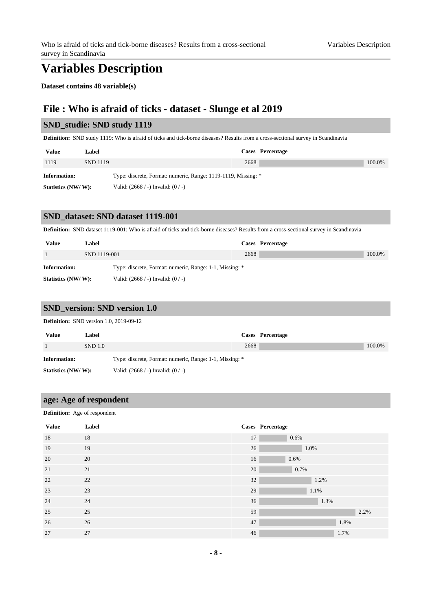## **Variables Description**

**Dataset contains 48 variable(s)**

### **File : Who is afraid of ticks - dataset - Slunge et al 2019**

#### <span id="page-7-0"></span>**SND\_studie: SND study 1119**

**Definition:** SND study 1119: Who is afraid of ticks and tick-borne diseases? Results from a cross-sectional survey in Scandinavia

| Value              | Label           |                                                               | Cases Percentage |        |
|--------------------|-----------------|---------------------------------------------------------------|------------------|--------|
| 1119               | <b>SND</b> 1119 | 2668                                                          |                  | 100.0% |
| Information:       |                 | Type: discrete, Format: numeric, Range: 1119-1119, Missing: * |                  |        |
| Statistics (NW/W): |                 | Valid: $(2668 / -)$ Invalid: $(0 / -)$                        |                  |        |

### <span id="page-7-1"></span>**SND\_dataset: SND dataset 1119-001**

**Definition:** SND dataset 1119-001: Who is afraid of ticks and tick-borne diseases? Results from a cross-sectional survey in Scandinavia

| Value              | Label                                                   |      | Cases Percentage |        |
|--------------------|---------------------------------------------------------|------|------------------|--------|
|                    | SND 1119-001                                            | 2668 |                  | 100.0% |
| Information:       | Type: discrete, Format: numeric, Range: 1-1, Missing: * |      |                  |        |
| Statistics (NW/W): | Valid: $(2668 / -)$ Invalid: $(0 / -)$                  |      |                  |        |

### <span id="page-7-2"></span>**SND\_version: SND version 1.0**

#### **Definition:** SND version 1.0, 2019-09-12

| Value               | Label   |                                                         | <b>Cases Percentage</b> |        |
|---------------------|---------|---------------------------------------------------------|-------------------------|--------|
|                     | SND 1.0 | 2668                                                    |                         | 100.0% |
| <b>Information:</b> |         | Type: discrete, Format: numeric, Range: 1-1, Missing: * |                         |        |
| Statistics (NW/W):  |         | Valid: $(2668 / -)$ Invalid: $(0 / -)$                  |                         |        |

#### <span id="page-7-3"></span>**age: Age of respondent**

#### **Definition:** Age of respondent

| <b>Value</b> | Label |    | Cases Percentage |
|--------------|-------|----|------------------|
| 18           | 18    | 17 | 0.6%             |
| 19           | 19    | 26 | 1.0%             |
| 20           | 20    | 16 | 0.6%             |
| 21           | 21    | 20 | 0.7%             |
| 22           | 22    | 32 | 1.2%             |
| 23           | 23    | 29 | 1.1%             |
| 24           | 24    | 36 | 1.3%             |
| 25           | 25    | 59 | 2.2%             |
| 26           | 26    | 47 | 1.8%             |
| 27           | 27    | 46 | 1.7%             |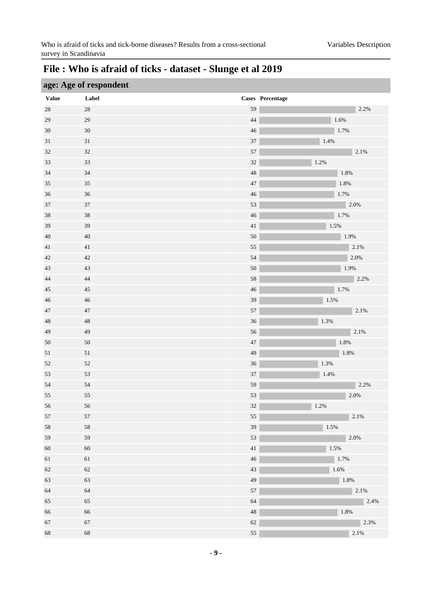### **age: Age of respondent Value Label Cases Percentage** 28  $28$  2.2% 29 29 29 29 29 20  $\frac{44}{1.6\%}$  $30 \hspace{1.5cm} 30 \hspace{1.5cm} 1.7\%$  $31$   $31$   $1.4\%$  $32 \hspace{1.5cm} 32 \hspace{1.5cm} 2.1\%$  $33$   $33$   $1.2\%$  $34$   $34$   $1.8\%$ 35 35 47 1.8% 36 36 36 36  $\frac{17\%}{20\%}$  $37$   $37$   $2.0\%$  $38 \hspace{38} 38$  38  $39 \hspace{1.5cm} 41 \hspace{1.5cm} 1.5\%$  $40 \hspace{1.5cm} 50 \hspace{1.5cm} 1.9\%$ 41 41 35 2.1%  $42$   $42$   $2.0\%$ 43  $43$  1.9%  $50$ 44 44 58 2.2% 45  $45$  45  $1.7\%$ 46  $46$   $1.5\%$ 47  $47$  2.1%  $48$   $48$   $1.3\%$ 49 49 56 2.1% 50 50 50 50 50 50  $\frac{47}{1.8\%}$ 51 51 51  $\frac{49}{1.8\%}$  51  $52$   $52$   $52$   $1.3%$ 53 53 53 54  $\frac{14\%}{14\%}$  53  $\frac{14\%}{14\%}$  $54$  54  $54$ 55 55 55 55 54  $\sim$  55  $^2$ 56 56 56 56 32  $1.2\%$  $57$  57 57 2.1% 58 58 39 1.5%  $59$  59  $59$  2.0% 60 60 60  $\frac{41}{1.5\%}$ 61 61 46 1.7%  $62$  62  $62$  62  $1.6\%$  $63$  63 63 1.8% and  $49$  63 1.8% 64 64 57 2.1% 65 65 65 65 2.4% 66 66 66 1.8% and 1.8% and 1.8% and 1.8% and 1.8% and 1.8% and 1.8% and 1.8% and 1.8% and 1.8% and 1.8% and 1.8% 67 67 62 2.3% 68 68 68 55 2.1%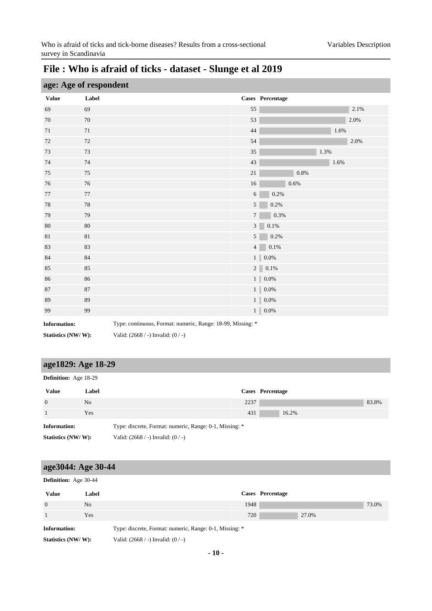| age: Age of respondent |        |                                                             |                |                     |         |      |      |
|------------------------|--------|-------------------------------------------------------------|----------------|---------------------|---------|------|------|
| <b>Value</b>           | Label  |                                                             |                | Cases Percentage    |         |      |      |
| 69                     | 69     | 55                                                          |                |                     |         |      | 2.1% |
| 70                     | $70\,$ | 53                                                          |                |                     |         |      | 2.0% |
| 71                     | 71     | $44\,$                                                      |                |                     |         | 1.6% |      |
| 72                     | 72     | 54                                                          |                |                     |         |      | 2.0% |
| 73                     | 73     | 35                                                          |                |                     |         | 1.3% |      |
| 74                     | 74     | 43                                                          |                |                     |         | 1.6% |      |
| 75                     | 75     | $21\,$                                                      |                |                     | $0.8\%$ |      |      |
| 76                     | 76     | 16                                                          |                | 0.6%                |         |      |      |
| 77                     | 77     |                                                             | 6 <sup>1</sup> | 0.2%                |         |      |      |
| 78                     | 78     |                                                             | 5 <sup>5</sup> | 0.2%                |         |      |      |
| 79                     | 79     |                                                             | $\tau$         | 0.3%                |         |      |      |
| 80                     | $80\,$ |                                                             | 3 <sup>1</sup> | 0.1%                |         |      |      |
| 81                     | $81\,$ |                                                             | 5 <sup>5</sup> | 0.2%                |         |      |      |
| 83                     | 83     |                                                             | 4 <sup>1</sup> | $0.1\%$             |         |      |      |
| 84                     | 84     |                                                             |                | $1 \parallel 0.0\%$ |         |      |      |
| 85                     | 85     |                                                             |                | $2\,$   $0.1\%$     |         |      |      |
| 86                     | 86     |                                                             |                | $1~\parallel~0.0\%$ |         |      |      |
| 87                     | 87     |                                                             |                | $1~\parallel~0.0\%$ |         |      |      |
| 89                     | 89     |                                                             |                | $1$   $0.0\%$       |         |      |      |
| 99                     | 99     |                                                             |                | $1~\parallel~0.0\%$ |         |      |      |
| <b>Information:</b>    |        | Type: continuous, Format: numeric, Range: 18-99, Missing: * |                |                     |         |      |      |

**Statistics (NW/ W):** Valid: (2668 / -) Invalid: (0 / -)

### <span id="page-9-0"></span>**age1829: Age 18-29**

| <b>Definition:</b> Age 18-29 |  |
|------------------------------|--|

| <b>Value</b>        | Label | Cases Percentage                                        |
|---------------------|-------|---------------------------------------------------------|
| $\Omega$            | No.   | 2237<br>83.8%                                           |
|                     | Yes   | 431<br>16.2%                                            |
| <b>Information:</b> |       | Type: discrete, Format: numeric, Range: 0-1, Missing: * |
| Statistics (NW/W):  |       | Valid: $(2668 / -)$ Invalid: $(0 / -)$                  |

### <span id="page-9-1"></span>**age3044: Age 30-44**

|                    | <b>Definition:</b> Age 30-44 |                                                         |                  |  |  |
|--------------------|------------------------------|---------------------------------------------------------|------------------|--|--|
| <b>Value</b>       | Label                        |                                                         | Cases Percentage |  |  |
| $\overline{0}$     | N <sub>o</sub>               | 1948                                                    | 73.0%            |  |  |
|                    | Yes                          | 720                                                     | 27.0%            |  |  |
| Information:       |                              | Type: discrete, Format: numeric, Range: 0-1, Missing: * |                  |  |  |
| Statistics (NW/W): |                              | Valid: $(2668 / -)$ Invalid: $(0 / -)$                  |                  |  |  |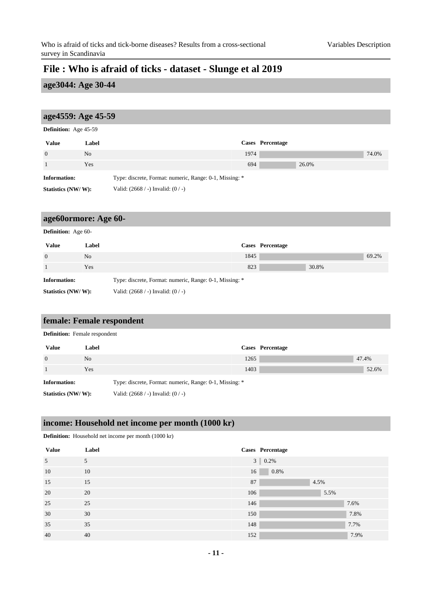### **age3044: Age 30-44**

### <span id="page-10-0"></span>**age4559: Age 45-59**

#### **Definition:** Age 45-59

| <b>Value</b>        | Label          |                                                         | Cases Percentage |
|---------------------|----------------|---------------------------------------------------------|------------------|
| $\Omega$            | N <sub>o</sub> | 1974                                                    | 74.0%            |
|                     | Yes            | 694                                                     | 26.0%            |
| <b>Information:</b> |                | Type: discrete, Format: numeric, Range: 0-1, Missing: * |                  |
| Statistics (NW/W):  |                | Valid: $(2668 / -)$ Invalid: $(0 / -)$                  |                  |

### <span id="page-10-1"></span>**age60ormore: Age 60-**

**Definition:** Age 60-

| <b>Value</b>                                                 | Label |                                                         | Cases Percentage |       |       |
|--------------------------------------------------------------|-------|---------------------------------------------------------|------------------|-------|-------|
| $\Omega$                                                     | No.   | 1845                                                    |                  |       | 69.2% |
|                                                              | Yes   | 823                                                     |                  | 30.8% |       |
| Information:                                                 |       | Type: discrete, Format: numeric, Range: 0-1, Missing: * |                  |       |       |
| Statistics (NW/W):<br>Valid: $(2668 / -)$ Invalid: $(0 / -)$ |       |                                                         |                  |       |       |

### <span id="page-10-2"></span>**female: Female respondent**

#### **Definition:** Female respondent

| <b>Value</b>        | Label          |                                                         | Cases Percentage |
|---------------------|----------------|---------------------------------------------------------|------------------|
| $\Omega$            | N <sub>o</sub> | 1265                                                    | 47.4%            |
|                     | Yes            | 1403                                                    | 52.6%            |
| <b>Information:</b> |                | Type: discrete, Format: numeric, Range: 0-1, Missing: * |                  |

**Statistics (NW/ W):** Valid: (2668 / -) Invalid: (0 / -)

### <span id="page-10-3"></span>**income: Household net income per month (1000 kr)**

#### **Definition:** Household net income per month (1000 kr)

| <b>Value</b> | Label | Cases Percentage        |
|--------------|-------|-------------------------|
| 5            | 5     | $3 \mid 0.2\%$          |
| 10           | 10    | 0.8%<br>16 <sup>1</sup> |
| 15           | 15    | 87<br>4.5%              |
| 20           | 20    | 106<br>5.5%             |
| 25           | 25    | 146<br>7.6%             |
| 30           | 30    | 150<br>7.8%             |
| 35           | 35    | 7.7%<br>148             |
| 40           | 40    | 152<br>7.9%             |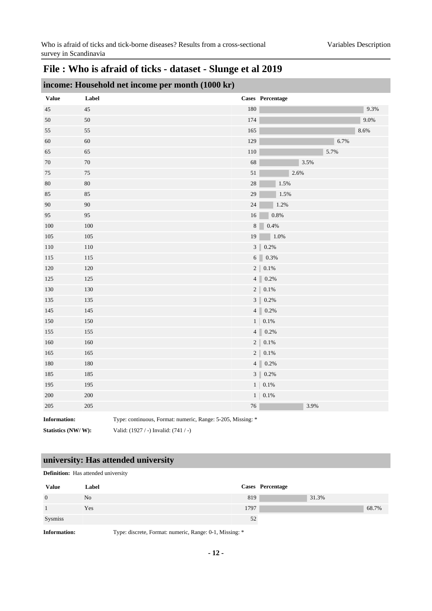|                     |         | income: Household net income per month (1000 kr)            |                |                     |         |      |      |
|---------------------|---------|-------------------------------------------------------------|----------------|---------------------|---------|------|------|
| <b>Value</b>        | Label   |                                                             |                | Cases Percentage    |         |      |      |
| 45                  | $45\,$  |                                                             | $180\,$        |                     |         |      | 9.3% |
| 50                  | 50      |                                                             | 174            |                     |         |      | 9.0% |
| 55                  | 55      |                                                             | 165            |                     |         |      | 8.6% |
| 60                  | 60      |                                                             | 129            |                     |         | 6.7% |      |
| 65                  | 65      |                                                             | $110\,$        |                     |         | 5.7% |      |
| 70                  | $70\,$  |                                                             | 68             |                     | 3.5%    |      |      |
| 75                  | 75      |                                                             | $51\,$         |                     | 2.6%    |      |      |
| 80                  | $80\,$  |                                                             | $28\,$         |                     | 1.5%    |      |      |
| 85                  | 85      |                                                             | $29\,$         |                     | 1.5%    |      |      |
| 90                  | $90\,$  |                                                             | $24\,$         |                     | 1.2%    |      |      |
| 95                  | 95      |                                                             | $16\,$         |                     | $0.8\%$ |      |      |
| 100                 | 100     |                                                             |                | $8 \ 0.4\%$         |         |      |      |
| 105                 | $105\,$ |                                                             | 19             | $\boxed{1.0\%}$     |         |      |      |
| 110                 | 110     |                                                             |                | $3$   $0.2\%$       |         |      |      |
| 115                 | 115     |                                                             | $6 \Box$       | 0.3%                |         |      |      |
| 120                 | 120     |                                                             |                | $2 \mid 0.1\%$      |         |      |      |
| 125                 | $125\,$ |                                                             |                | $4$   $0.2\%$       |         |      |      |
| 130                 | $130\,$ |                                                             | 2 <sup>1</sup> | $0.1\%$             |         |      |      |
| 135                 | 135     |                                                             |                | $3$   $0.2\%$       |         |      |      |
| 145                 | 145     |                                                             |                | $4$   $0.2\%$       |         |      |      |
| 150                 | 150     |                                                             | $1$            | $0.1\%$             |         |      |      |
| 155                 | 155     |                                                             |                | $4 \ 0.2\%$         |         |      |      |
| 160                 | 160     |                                                             |                | $2   0.1\%$         |         |      |      |
| 165                 | $165\,$ |                                                             | $2 \parallel$  | $0.1\%$             |         |      |      |
| 180                 | 180     |                                                             |                | $4 \parallel 0.2\%$ |         |      |      |
| 185                 | 185     |                                                             |                | $3 \mid 0.2\%$      |         |      |      |
| 195                 | 195     |                                                             | 1              | $0.1\%$             |         |      |      |
| 200                 | $200\,$ |                                                             |                | $1   0.1\%$         |         |      |      |
| 205                 | 205     |                                                             | $76\,$         |                     | 3.9%    |      |      |
| <b>Information:</b> |         | Type: continuous, Format: numeric, Range: 5-205, Missing: * |                |                     |         |      |      |

### <span id="page-11-0"></span>**university: Has attended university**

**Statistics (NW/ W):** Valid: (1927 / -) Invalid: (741 / -)

#### **Definition:** Has attended university

| <b>Value</b> | Label |      | Cases Percentage |
|--------------|-------|------|------------------|
| $\Omega$     | No.   | 819  | 31.3%            |
|              | Yes   | 1797 | 68.7%            |
| Sysmiss      |       | 52   |                  |

**Information:** Type: discrete, Format: numeric, Range: 0-1, Missing: \*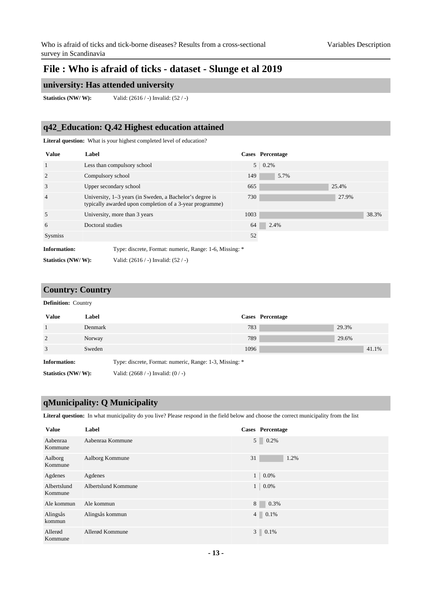### **university: Has attended university**

**Statistics (NW/ W):** Valid: (2616 / -) Invalid: (52 / -)

**Statistics (NW/ W):** Valid: (2616 / -) Invalid: (52 / -)

### <span id="page-12-0"></span>**q42\_Education: Q.42 Highest education attained**

**Literal question:** What is your highest completed level of education?

| <b>Value</b>        | Label                                                                                                                  |                | Cases Percentage |       |       |
|---------------------|------------------------------------------------------------------------------------------------------------------------|----------------|------------------|-------|-------|
| $\mathbf{1}$        | Less than compulsory school                                                                                            | 5 <sup>1</sup> | 0.2%             |       |       |
| 2                   | Compulsory school                                                                                                      | 149            | 5.7%             |       |       |
| 3                   | Upper secondary school                                                                                                 | 665            |                  | 25.4% |       |
| $\overline{4}$      | University, $1-3$ years (in Sweden, a Bachelor's degree is<br>typically awarded upon completion of a 3-year programme) | 730            |                  | 27.9% |       |
| 5                   | University, more than 3 years                                                                                          | 1003           |                  |       | 38.3% |
| 6                   | Doctoral studies                                                                                                       | 64             | 2.4%             |       |       |
| Sysmiss             |                                                                                                                        | 52             |                  |       |       |
| <b>Information:</b> | Type: discrete, Format: numeric, Range: 1-6, Missing: *                                                                |                |                  |       |       |

#### <span id="page-12-1"></span>**Country: Country**

**Definition:** Country

| <b>Value</b>                                                 | Label   |                                                         |     | Cases Percentage |       |       |
|--------------------------------------------------------------|---------|---------------------------------------------------------|-----|------------------|-------|-------|
|                                                              | Denmark |                                                         | 783 |                  | 29.3% |       |
| 2                                                            | Norway  |                                                         | 789 |                  | 29.6% |       |
| 3                                                            | Sweden  | 1096                                                    |     |                  |       | 41.1% |
| <b>Information:</b>                                          |         | Type: discrete, Format: numeric, Range: 1-3, Missing: * |     |                  |       |       |
| Statistics (NW/W):<br>Valid: $(2668 / -)$ Invalid: $(0 / -)$ |         |                                                         |     |                  |       |       |

### <span id="page-12-2"></span>**qMunicipality: Q Municipality**

**Literal question:** In what municipality do you live? Please respond in the field below and choose the correct municipality from the list

| <b>Value</b>           | Label               |                | <b>Cases</b> Percentage |
|------------------------|---------------------|----------------|-------------------------|
| Aabenraa<br>Kommune    | Aabenraa Kommune    |                | $5 \t 0.2\%$            |
| Aalborg<br>Kommune     | Aalborg Kommune     | 31             | 1.2%                    |
| Agdenes                | Agdenes             | 1 <sup>1</sup> | $0.0\%$                 |
| Albertslund<br>Kommune | Albertslund Kommune |                | $1 \,   \, 0.0\%$       |
| Ale kommun             | Ale kommun          | 8              | 0.3%                    |
| Alingsås<br>kommun     | Alingsås kommun     |                | $4 \ 0.1\%$             |
| Allerød<br>Kommune     | Allerød Kommune     |                | $3 \ 0.1\%$             |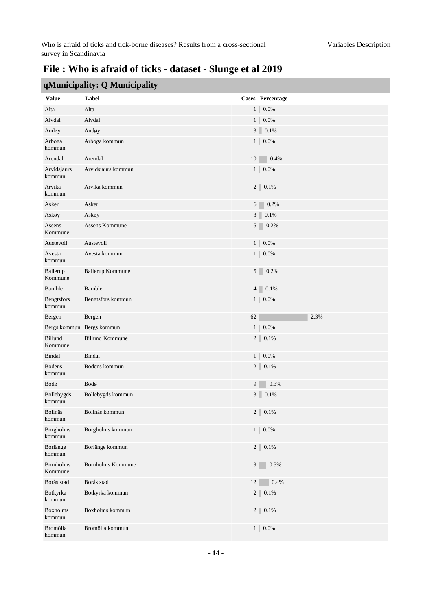|                             | qMunicipality: Q Municipality |                          |      |
|-----------------------------|-------------------------------|--------------------------|------|
| <b>Value</b>                | Label                         | Cases Percentage         |      |
| Alta                        | Alta                          | $0.0\%$<br>$1\vert$      |      |
| Alvdal                      | Alvdal                        | 1 <sup>1</sup><br>0.0%   |      |
| Andøy                       | Andøy                         | 3<br>0.1%                |      |
| Arboga<br>kommun            | Arboga kommun                 | 1<br>0.0%                |      |
| Arendal                     | Arendal                       | $10\,$<br>0.4%           |      |
| Arvidsjaurs<br>kommun       | Arvidsjaurs kommun            | 0.0%<br>$1 \mid$         |      |
| Arvika<br>kommun            | Arvika kommun                 | $2 \ 0.1\%$              |      |
| Asker                       | Asker                         | $6 \t 0.2\%$             |      |
| Askøy                       | Askøy                         | 3<br>0.1%                |      |
| Assens<br>Kommune           | Assens Kommune                | 5 <sup>1</sup><br>0.2%   |      |
| Austevoll                   | Austevoll                     | $1\vert$<br>0.0%         |      |
| Avesta<br>kommun            | Avesta kommun                 | 1<br>0.0%                |      |
| Ballerup<br>Kommune         | <b>Ballerup Kommune</b>       | 5 <sup>1</sup><br>0.2%   |      |
| Bamble                      | Bamble                        | 4 <sup>1</sup><br>0.1%   |      |
| Bengtsfors<br>kommun        | Bengtsfors kommun             | 1 <sup>1</sup><br>0.0%   |      |
| Bergen                      | Bergen                        | 62                       | 2.3% |
|                             | Bergs kommun Bergs kommun     | $0.0\%$<br>$\mathbf{1}$  |      |
| Billund<br>Kommune          | <b>Billund Kommune</b>        | $2 \parallel$<br>0.1%    |      |
| <b>Bindal</b>               | <b>Bindal</b>                 | 1 <sup>1</sup><br>0.0%   |      |
| <b>Bodens</b><br>kommun     | Bodens kommun                 | $2 \parallel$<br>$0.1\%$ |      |
| Bodø                        | Bodø                          | 9<br>0.3%                |      |
| Bollebygds<br>kommun        | Bollebygds kommun             | 3<br>0.1%                |      |
| Bollnäs<br>kommun           | Bollnäs kommun                | $2 \parallel$<br>$0.1\%$ |      |
| Borgholms<br>kommun         | Borgholms kommun              | $1\vert$<br>$0.0\%$      |      |
| Borlänge<br>kommun          | Borlänge kommun               | $2 \parallel$<br>$0.1\%$ |      |
| <b>Bornholms</b><br>Kommune | <b>Bornholms</b> Kommune      | 0.3%<br>9                |      |
| Borås stad                  | Borås stad                    | 12<br>0.4%               |      |
| Botkyrka<br>kommun          | Botkyrka kommun               | $2 \parallel$<br>$0.1\%$ |      |
| <b>Boxholms</b><br>kommun   | Boxholms kommun               | $2 \parallel$<br>0.1%    |      |
| Bromölla<br>kommun          | Bromölla kommun               | $1\vert$<br>$0.0\%$      |      |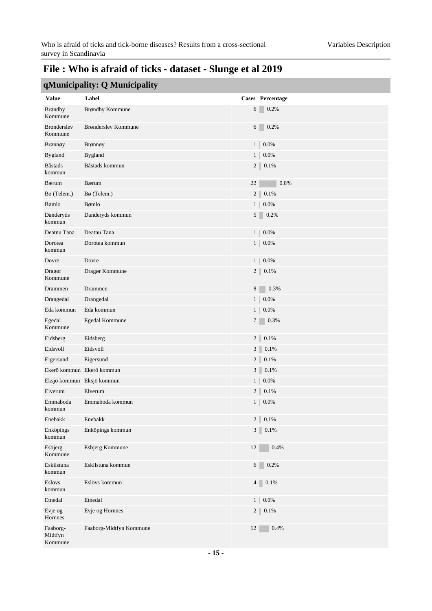| די - י                         |                           |                |                           |
|--------------------------------|---------------------------|----------------|---------------------------|
| <b>Value</b>                   | Label                     |                | Cases Percentage          |
| Brøndby<br>Kommune             | Brøndby Kommune           |                | $6 \mid$<br>0.2%          |
| Brønderslev<br>Kommune         | Brønderslev Kommune       |                | 0.2%<br>$6 \mid$          |
| Brønnøy                        | Brønnøy                   | 1 <sup>1</sup> | 0.0%                      |
| <b>Bygland</b>                 | <b>Bygland</b>            | 1 <sup>1</sup> | $0.0\%$                   |
| <b>Båstads</b><br>kommun       | Båstads kommun            |                | $2 \parallel$<br>0.1%     |
| <b>B</b> ærum                  | Bærum                     | 22             | 0.8%                      |
| Bø (Telem.)                    | Bø (Telem.)               |                | 2<br>0.1%                 |
| Bømlo                          | Bømlo                     | 1 <sup>1</sup> | 0.0%                      |
| Danderyds<br>kommun            | Danderyds kommun          |                | $5 \ 0.2\%$               |
| Deatnu Tana                    | Deatnu Tana               |                | $0.0\%$<br>1 <sup>1</sup> |
| Dorotea<br>kommun              | Dorotea kommun            | 1 <sup>1</sup> | 0.0%                      |
| Dovre                          | Dovre                     | 1 <sup>1</sup> | 0.0%                      |
| Dragør<br>Kommune              | Dragør Kommune            |                | $2 \parallel$<br>0.1%     |
| Drammen                        | Drammen                   | 8              | 0.3%                      |
| Drangedal                      | Drangedal                 | 1              | 0.0%                      |
| Eda kommun                     | Eda kommun                | 1              | $0.0\%$                   |
| Egedal<br>Kommune              | Egedal Kommune            |                | $7 \ 0.3\%$               |
| Eidsberg                       | Eidsberg                  |                | $2 \parallel$<br>0.1%     |
| Eidsvoll                       | Eidsvoll                  |                | $3 \parallel$<br>0.1%     |
| Eigersund                      | Eigersund                 |                | 2<br>0.1%                 |
|                                | Ekerö kommun Ekerö kommun |                | 3<br>0.1%                 |
|                                | Eksjö kommun Eksjö kommun | 1 <sup>1</sup> | 0.0%                      |
| Elverum                        | Elverum                   |                | 2<br>0.1%                 |
| Emmaboda<br>kommun             | Emmaboda kommun           | $\mathbf{1}$   | 0.0%                      |
| Enebakk                        | Enebakk                   |                | 2<br>$0.1\%$              |
| Enköpings<br>kommun            | Enköpings kommun          |                | 0.1%<br>3 <sup>7</sup>    |
| Esbjerg<br>Kommune             | Esbjerg Kommune           | 12             | 0.4%                      |
| Eskilstuna<br>kommun           | Eskilstuna kommun         |                | 0.2%<br>$6 \mid$          |
| Eslövs<br>kommun               | Eslövs kommun             |                | $4 \square$<br>0.1%       |
| Etnedal                        | Etnedal                   | 1              | $0.0\%$                   |
| Evje og<br>Hornnes             | Evje og Hornnes           |                | 2<br>$0.1\%$              |
| Faaborg-<br>Midtfyn<br>Kommune | Faaborg-Midtfyn Kommune   | 12             | 0.4%                      |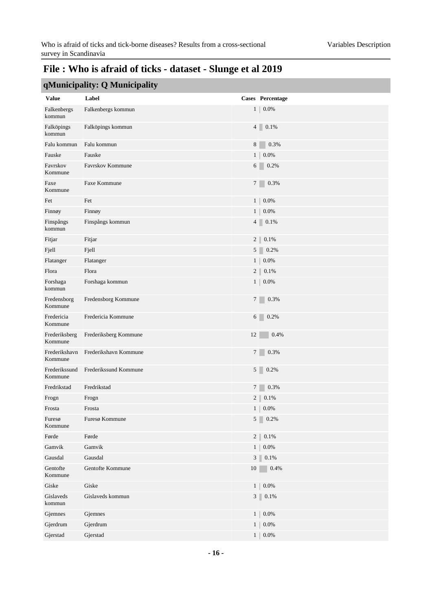| <b>Value</b>             | Label                 | Cases Percentage          |
|--------------------------|-----------------------|---------------------------|
| Falkenbergs<br>kommun    | Falkenbergs kommun    | 0.0%<br>1 <sup>1</sup>    |
| Falköpings<br>kommun     | Falköpings kommun     | $4 \ 0.1\%$               |
| Falu kommun              | Falu kommun           | 8<br>0.3%                 |
| Fauske                   | Fauske                | 1 <sup>1</sup><br>0.0%    |
| Favrskov<br>Kommune      | Favrskov Kommune      | 6<br>$0.2\%$              |
| Faxe<br>Kommune          | Faxe Kommune          | $7 \t 0.3\%$              |
| Fet                      | Fet                   | $1\vert$<br>$0.0\%$       |
| Finnøy                   | Finnøy                | 1<br>0.0%                 |
| Finspångs<br>kommun      | Finspångs kommun      | $4 \ 0.1\%$               |
| Fitjar                   | Fitjar                | $2 \parallel$<br>$0.1\%$  |
| Fjell                    | Fjell                 | $5 \ 0.2\%$               |
| Flatanger                | Flatanger             | 1 <sup>1</sup><br>0.0%    |
| Flora                    | Flora                 | $2 \parallel$<br>0.1%     |
| Forshaga<br>kommun       | Forshaga kommun       | 1 <sup>1</sup><br>$0.0\%$ |
| Fredensborg<br>Kommune   | Fredensborg Kommune   | 7<br>0.3%                 |
| Fredericia<br>Kommune    | Fredericia Kommune    | $6 \mid$<br>0.2%          |
| Frederiksberg<br>Kommune | Frederiksberg Kommune | 12<br>0.4%                |
| Frederikshavn<br>Kommune | Frederikshavn Kommune | $\tau$<br>0.3%            |
| Frederikssund<br>Kommune | Frederikssund Kommune | 5 <sup>1</sup><br>0.2%    |
| Fredrikstad              | Fredrikstad           | $\tau$<br>0.3%            |
| Frogn                    | Frogn                 | $2 \ 0.1\%$               |
| Frosta                   | Frosta                | 1 <sup>1</sup><br>0.0%    |
| Furesø<br>Kommune        | Furesø Kommune        | 5 <sup>7</sup><br>0.2%    |
| Førde                    | Førde                 | $2 \parallel$<br>$0.1\%$  |
| Gamvik                   | Gamvik                | $0.0\%$<br>$\mathbf{1}$   |
| Gausdal                  | Gausdal               | $3 \square$<br>0.1%       |
| Gentofte<br>Kommune      | Gentofte Kommune      | 10<br>0.4%                |
| Giske                    | Giske                 | $0.0\%$<br>1 <sup>1</sup> |
| Gislaveds<br>kommun      | Gislaveds kommun      | $3 \square$<br>$0.1\%$    |
| Gjemnes                  | Gjemnes               | $1\vert$<br>$0.0\%$       |
| Gjerdrum                 | Gjerdrum              | 1 <sup>1</sup><br>0.0%    |
| Gjerstad                 | Gjerstad              | $0.0\%$<br>1 <sup>1</sup> |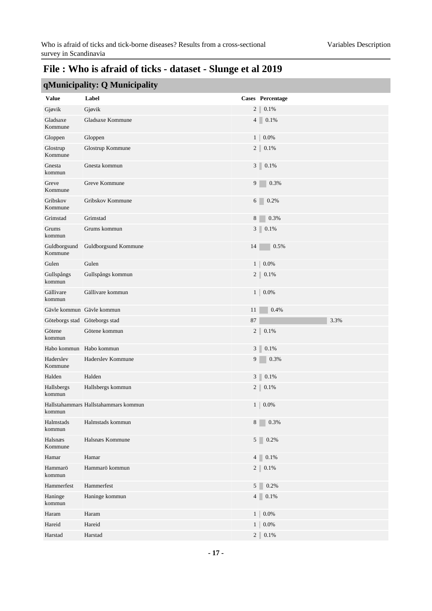|                         | qMunicipality: Q Municipality        |    |                           |
|-------------------------|--------------------------------------|----|---------------------------|
| <b>Value</b>            | Label                                |    | Cases Percentage          |
| Gjøvik                  | Gjøvik                               |    | 0.1%<br>$2 \parallel$     |
| Gladsaxe<br>Kommune     | Gladsaxe Kommune                     |    | $4 \ 0.1\%$               |
| Gloppen                 | Gloppen                              |    | $1 \,   \, 0.0\%$         |
| Glostrup<br>Kommune     | Glostrup Kommune                     |    | $2 \parallel 0.1\%$       |
| Gnesta<br>kommun        | Gnesta kommun                        |    | $3 \ 0.1\%$               |
| Greve<br>Kommune        | Greve Kommune                        |    | 9<br>0.3%                 |
| Gribskov<br>Kommune     | Gribskov Kommune                     |    | $6 \mid$<br>0.2%          |
| Grimstad                | Grimstad                             |    | 8<br>0.3%                 |
| Grums<br>kommun         | Grums kommun                         |    | $3 \ 0.1\%$               |
| Guldborgsund<br>Kommune | Guldborgsund Kommune                 | 14 | 0.5%                      |
| Gulen                   | Gulen                                |    | 0.0%<br>1 <sup>1</sup>    |
| Gullspångs<br>kommun    | Gullspångs kommun                    |    | $2 \parallel$<br>0.1%     |
| Gällivare<br>kommun     | Gällivare kommun                     |    | $1 \,   \, 0.0\%$         |
|                         | Gävle kommun Gävle kommun            | 11 | 0.4%                      |
|                         | Göteborgs stad Göteborgs stad        | 87 | 3.3%                      |
| Götene<br>kommun        | Götene kommun                        |    | $2 \parallel$<br>0.1%     |
|                         | Habo kommun Habo kommun              |    | 3<br>0.1%                 |
| Haderslev<br>Kommune    | Haderslev Kommune                    |    | 9<br>0.3%                 |
| Halden                  | Halden                               |    | $3$ 0.1%                  |
| Hallsbergs<br>kommun    | Hallsbergs kommun                    |    | $2   0.1\%$               |
| kommun                  | Hallstahammars Hallstahammars kommun |    | $1   0.0\%$               |
| Halmstads<br>kommun     | Halmstads kommun                     |    | 0.3%<br>8                 |
| Halsnæs<br>Kommune      | Halsnæs Kommune                      |    | 5<br>0.2%                 |
| Hamar                   | Hamar                                |    | 4<br>0.1%                 |
| Hammarö<br>kommun       | Hammarö kommun                       |    | $2 \parallel$<br>0.1%     |
| Hammerfest              | Hammerfest                           |    | 5 <sup>1</sup><br>0.2%    |
| Haninge<br>kommun       | Haninge kommun                       |    | 4<br>$0.1\%$              |
| Haram                   | Haram                                |    | $0.0\%$<br>1 <sup>1</sup> |
| Hareid                  | Hareid                               |    | $0.0\%$<br>$\mathbf{1}$   |
| Harstad                 | Harstad                              |    | $2$   $0.1\%$             |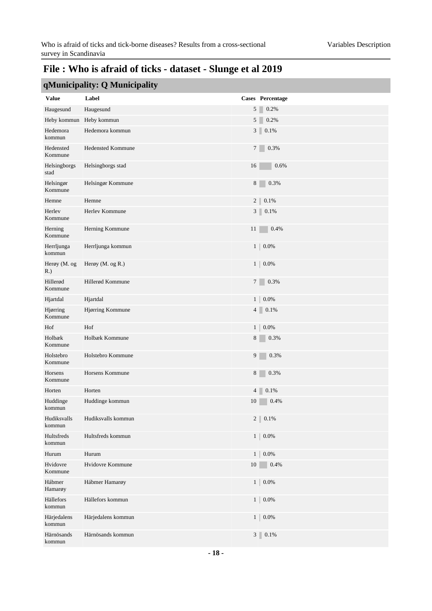|                        | qMunicipality: Q Municipality |                           |
|------------------------|-------------------------------|---------------------------|
| <b>Value</b>           | Label                         | Cases Percentage          |
| Haugesund              | Haugesund                     | 5<br>0.2%                 |
| Heby kommun            | Heby kommun                   | 5<br>0.2%                 |
| Hedemora<br>kommun     | Hedemora kommun               | 3<br>0.1%                 |
| Hedensted<br>Kommune   | <b>Hedensted Kommune</b>      | $7 \mid$<br>0.3%          |
| Helsingborgs<br>stad   | Helsingborgs stad             | 16<br>0.6%                |
| Helsingør<br>Kommune   | Helsingør Kommune             | 8<br>0.3%                 |
| Hemne                  | Hemne                         | 2 <sup>1</sup><br>0.1%    |
| Herley<br>Kommune      | Herley Kommune                | 3<br>0.1%                 |
| Herning<br>Kommune     | Herning Kommune               | 11<br>0.4%                |
| Herrljunga<br>kommun   | Herrljunga kommun             | 1<br>0.0%                 |
| Herøy (M. og<br>$R$ .) | Herøy (M. og R.)              | 1<br>0.0%                 |
| Hillerød<br>Kommune    | Hillerød Kommune              | 7<br>0.3%                 |
| Hjartdal               | Hjartdal                      | 1 <sup>1</sup><br>0.0%    |
| Hjørring<br>Kommune    | Hjørring Kommune              | 4<br>0.1%                 |
| Hof                    | Hof                           | $0.0\%$<br>1 <sup>1</sup> |
| Holbæk<br>Kommune      | Holbæk Kommune                | 8<br>0.3%                 |
| Holstebro<br>Kommune   | Holstebro Kommune             | 9<br>0.3%                 |
| Horsens<br>Kommune     | Horsens Kommune               | 8<br>0.3%                 |
| Horten                 | Horten                        | 0.1%<br>4 <sup>1</sup>    |
| Huddinge<br>kommun     | Huddinge kommun               | 10<br>0.4%                |
| Hudiksvalls<br>kommun  | Hudiksvalls kommun            | $2 \parallel$<br>$0.1\%$  |
| Hultsfreds<br>kommun   | Hultsfreds kommun             | $0.0\%$<br>1 <sup>1</sup> |
| Hurum                  | Hurum                         | $0.0\%$<br>1              |
| Hvidovre<br>Kommune    | Hvidovre Kommune              | 0.4%<br>10                |
| Hábmer<br>Hamarøy      | Hábmer Hamarøy                | 0.0%<br>1 <sup>1</sup>    |
| Hällefors<br>kommun    | Hällefors kommun              | 1 <br>0.0%                |
| Härjedalens<br>kommun  | Härjedalens kommun            | $1\vert$<br>0.0%          |
| Härnösands<br>kommun   | Härnösands kommun             | $3$ 0.1%                  |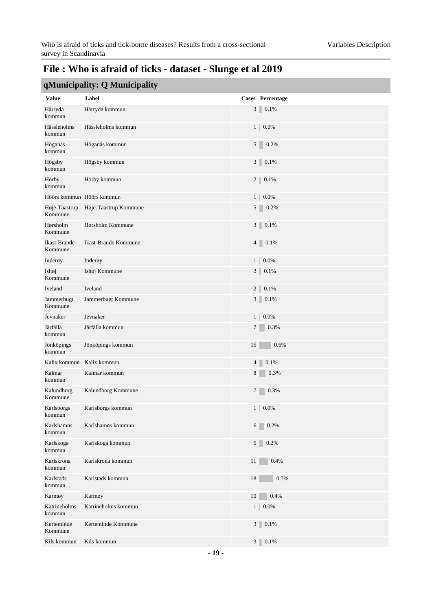|                          | чительной Ситеперану      |                         |
|--------------------------|---------------------------|-------------------------|
| <b>Value</b>             | Label                     | <b>Cases</b> Percentage |
| Härryda<br>kommun        | Härryda kommun            | $3 \ 0.1\%$             |
| Hässleholms<br>kommun    | Hässleholms kommun        | 1 <sup>1</sup><br>0.0%  |
| Höganäs<br>kommun        | Höganäs kommun            | $5 \ 0.2\%$             |
| Högsby<br>kommun         | Högsby kommun             | $3 \ 0.1\%$             |
| Hörby<br>kommun          | Hörby kommun              | $2 \ 0.1\%$             |
|                          | Höörs kommun Höörs kommun | 1<br>0.0%               |
| Høje-Taastrup<br>Kommune | Høje-Taastrup Kommune     | 5 <sup>1</sup><br>0.2%  |
| Hørsholm<br>Kommune      | Hørsholm Kommune          | $3 \ 0.1\%$             |
| Ikast-Brande<br>Kommune  | Ikast-Brande Kommune      | 4<br>0.1%               |
| Inderøy                  | Inderøy                   | 1 <br>0.0%              |
| Ishøj<br>Kommune         | Ishøj Kommune             | $2 \parallel$<br>0.1%   |
| Iveland                  | Iveland                   | $2 \parallel$<br>0.1%   |
| Jammerbugt<br>Kommune    | Jammerbugt Kommune        | 3<br>0.1%               |
| Jevnaker                 | Jevnaker                  | 1<br>0.0%               |
| Järfälla<br>kommun       | Järfälla kommun           | $\tau$<br>$0.3\%$       |
| Jönköpings<br>kommun     | Jönköpings kommun         | 0.6%<br>15              |
| Kalix kommun             | Kalix kommun              | 0.1%<br>4 <sup>1</sup>  |
| Kalmar<br>kommun         | Kalmar kommun             | 8<br>0.3%               |
| Kalundborg<br>Kommune    | Kalundborg Kommune        | 7<br>0.3%               |
| Karlsborgs<br>kommun     | Karlsborgs kommun         | 1 <sup>1</sup><br>0.0%  |
| Karlshamns<br>kommun     | Karlshamns kommun         | 0.2%<br>6               |
| Karlskoga<br>kommun      | Karlskoga kommun          | 5 <sup>1</sup><br>0.2%  |
| Karlskrona<br>kommun     | Karlskrona kommun         | 0.4%<br>11              |
| Karlstads<br>kommun      | Karlstads kommun          | 18<br>0.7%              |
| Karmøy                   | Karmøy                    | 0.4%<br>10              |
| Katrineholms<br>kommun   | Katrineholms kommun       | $1   0.0\%$             |
| Kerteminde<br>Kommune    | Kerteminde Kommune        | $3 \ 0.1\%$             |
| Kils kommun              | Kils kommun               | $3 \ 0.1\%$             |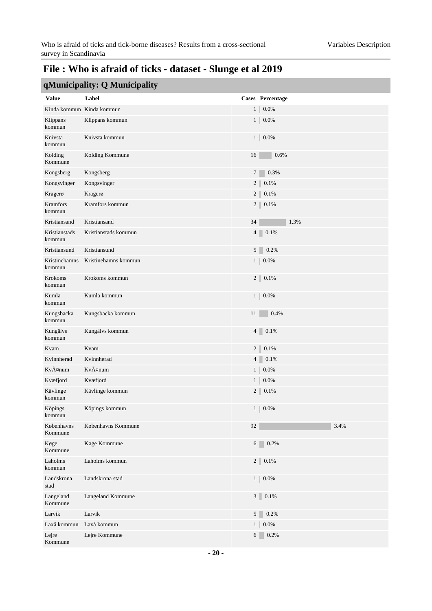|                         | q. amelpanty . L'admelpanty |                |                |                   |
|-------------------------|-----------------------------|----------------|----------------|-------------------|
| <b>Value</b>            | Label                       |                |                | Cases Percentage  |
|                         | Kinda kommun Kinda kommun   | $\mathbf{1}$   |                | $0.0\%$           |
| Klippans<br>kommun      | Klippans kommun             | 1 <sup>1</sup> |                | $0.0\%$           |
| Knivsta<br>kommun       | Knivsta kommun              |                |                | $1 \,   \, 0.0\%$ |
| Kolding<br>Kommune      | Kolding Kommune             | 16             |                | 0.6%              |
| Kongsberg               | Kongsberg                   | 7 <sup>1</sup> |                | 0.3%              |
| Kongsvinger             | Kongsvinger                 |                | $2 \parallel$  | 0.1%              |
| Kragerø                 | Kragerø                     |                | 2              | 0.1%              |
| Kramfors<br>kommun      | Kramfors kommun             |                | $2 \parallel$  | 0.1%              |
| Kristiansand            | Kristiansand                | 34             |                | 1.3%              |
| Kristianstads<br>kommun | Kristianstads kommun        |                |                | $4 \ 0.1\%$       |
| Kristiansund            | Kristiansund                |                |                | $5 \ 0.2\%$       |
| Kristinehamns<br>kommun | Kristinehamns kommun        |                | 1              | 0.0%              |
| Krokoms<br>kommun       | Krokoms kommun              |                | $2 \parallel$  | 0.1%              |
| Kumla<br>kommun         | Kumla kommun                |                |                | $1 \,   \, 0.0\%$ |
| Kungsbacka<br>kommun    | Kungsbacka kommun           | 11             |                | 0.4%              |
| Kungälvs<br>kommun      | Kungälvs kommun             |                | 4              | 0.1%              |
| Kvam                    | Kvam                        |                | $2 \parallel$  | 0.1%              |
| Kvinnherad              | Kvinnherad                  |                | 4              | 0.1%              |
| Kvänum                  | Kvänum                      |                | 1 <sup>1</sup> | 0.0%              |
| Kvæfjord                | Kvæfjord                    | 1              |                | 0.0%              |
| Kävlinge<br>kommun      | Kävlinge kommun             |                | $2 \parallel$  | 0.1%              |
| Köpings<br>kommun       | Köpings kommun              | 1 <sup>1</sup> |                | 0.0%              |
| Københavns<br>Kommune   | Københavns Kommune          | 92             |                | 3.4%              |
| Køge<br>Kommune         | Køge Kommune                |                | $6 \mid$       | 0.2%              |
| Laholms<br>kommun       | Laholms kommun              |                | $2 \parallel$  | 0.1%              |
| Landskrona<br>stad      | Landskrona stad             |                | 1 <sup>1</sup> | $0.0\%$           |
| Langeland<br>Kommune    | Langeland Kommune           |                | 3              | $0.1\%$           |
| Larvik                  | Larvik                      |                | 5 <sup>1</sup> | 0.2%              |
| Laxå kommun             | Laxå kommun                 |                | 1 <sup>1</sup> | $0.0\%$           |
| Lejre<br>Kommune        | Lejre Kommune               |                | $6 \mid$       | 0.2%              |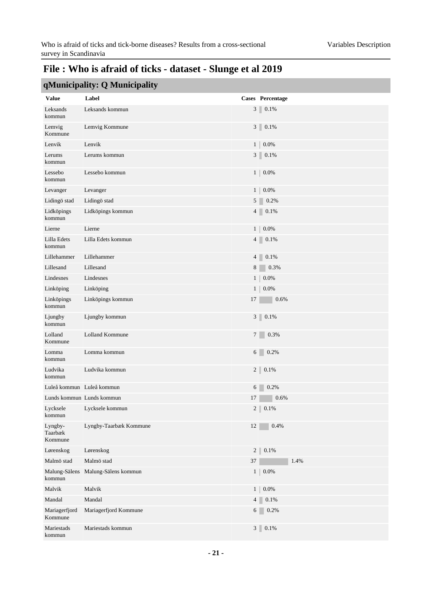|                               | q. ame.pancy. a mame.pancy |                           |
|-------------------------------|----------------------------|---------------------------|
| <b>Value</b>                  | Label                      | Cases Percentage          |
| Leksands<br>kommun            | Leksands kommun            | $3 \ 0.1\%$               |
| Lemvig<br>Kommune             | Lemvig Kommune             | $3 \ 0.1\%$               |
| Lenvik                        | Lenvik                     | $1\vert$<br>0.0%          |
| Lerums<br>kommun              | Lerums kommun              | $3 \ 0.1\%$               |
| Lessebo<br>kommun             | Lessebo kommun             | 1 <sup>1</sup><br>0.0%    |
| Levanger                      | Levanger                   | 1 <sup>1</sup><br>0.0%    |
| Lidingö stad                  | Lidingö stad               | $5\overline{)}$<br>0.2%   |
| Lidköpings<br>kommun          | Lidköpings kommun          | 4<br>0.1%                 |
| Lierne                        | Lierne                     | 1<br>0.0%                 |
| Lilla Edets<br>kommun         | Lilla Edets kommun         | 4<br>0.1%                 |
| Lillehammer                   | Lillehammer                | 4<br>0.1%                 |
| Lillesand                     | Lillesand                  | $8\,$<br>0.3%<br>٠        |
| Lindesnes                     | Lindesnes                  | 1 <sup>1</sup><br>$0.0\%$ |
| Linköping                     | Linköping                  | 1 <br>$0.0\%$             |
| Linköpings<br>kommun          | Linköpings kommun          | 17<br>0.6%                |
| Ljungby<br>kommun             | Ljungby kommun             | $3   0.1\%$               |
| Lolland<br>Kommune            | Lolland Kommune            | 0.3%<br>$7 \mid$          |
| Lomma<br>kommun               | Lomma kommun               | $6 \t 0.2\%$              |
| Ludvika<br>kommun             | Ludvika kommun             | $2 \ 0.1\%$               |
| Luleå kommun Luleå kommun     |                            | 0.2%<br>6                 |
|                               | Lunds kommun Lunds kommun  | 17<br>0.6%                |
| Lycksele<br>kommun            | Lycksele kommun            | 2<br>0.1%                 |
| Lyngby-<br>Taarbæk<br>Kommune | Lyngby-Taarbæk Kommune     | 12<br>0.4%                |
| Lørenskog                     | Lørenskog                  | $2 \parallel$<br>0.1%     |
| Malmö stad                    | Malmö stad                 | 37<br>1.4%                |
| Malung-Sälens<br>kommun       | Malung-Sälens kommun       | 0.0%<br>$\mathbf{1}$      |
| Malvik                        | Malvik                     | $1\vert$<br>0.0%          |
| Mandal                        | Mandal                     | $\overline{4}$<br>0.1%    |
| Mariagerfjord<br>Kommune      | Mariagerfjord Kommune      | 0.2%<br>6                 |
| Mariestads<br>kommun          | Mariestads kommun          | $3 \square$<br>0.1%       |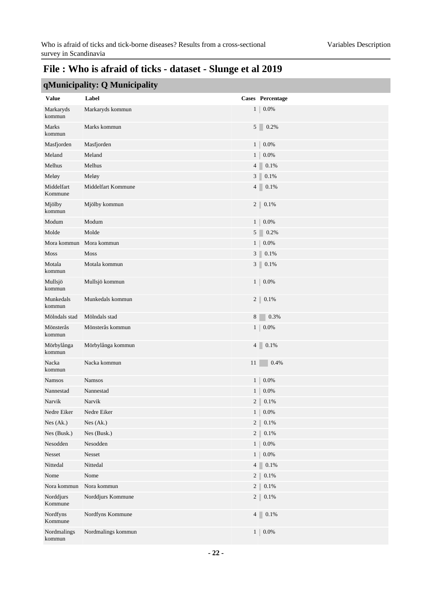| -----                 | $\cdots$ $\cdots$ $\cdots$ $\cdots$ $\cdots$ $\cdots$ $\cdots$ $\cdots$ $\cdots$ $\cdots$ |                           |
|-----------------------|-------------------------------------------------------------------------------------------|---------------------------|
| <b>Value</b>          | Label                                                                                     | Cases Percentage          |
| Markaryds<br>kommun   | Markaryds kommun                                                                          | 0.0%<br>$1 \mid$          |
| Marks<br>kommun       | Marks kommun                                                                              | $5 \Box$<br>0.2%          |
| Masfjorden            | Masfjorden                                                                                | $1\vert$<br>0.0%          |
| Meland                | Meland                                                                                    | $1\vert$<br>$0.0\%$       |
| Melhus                | Melhus                                                                                    | 4<br>0.1%                 |
| Meløy                 | Meløy                                                                                     | $3 \ 0.1\%$               |
| Middelfart<br>Kommune | Middelfart Kommune                                                                        | $4\blacksquare$<br>0.1%   |
| Mjölby<br>kommun      | Mjölby kommun                                                                             | $2 \ 0.1\%$               |
| Modum                 | Modum                                                                                     | 1 <sup>1</sup><br>0.0%    |
| Molde                 | Molde                                                                                     | $5 \ 0.2\%$               |
| Mora kommun           | Mora kommun                                                                               | 1<br>0.0%                 |
| Moss                  | Moss                                                                                      | 3<br>0.1%                 |
| Motala<br>kommun      | Motala kommun                                                                             | $3 \parallel$<br>0.1%     |
| Mullsjö<br>kommun     | Mullsjö kommun                                                                            | $1\vert$<br>$0.0\%$       |
| Munkedals<br>kommun   | Munkedals kommun                                                                          | $2 \ 0.1\%$               |
| Mölndals stad         | Mölndals stad                                                                             | 8<br>0.3%<br>٠            |
| Mönsterås<br>kommun   | Mönsterås kommun                                                                          | $1\vert$<br>0.0%          |
| Mörbylånga<br>kommun  | Mörbylånga kommun                                                                         | $4 \ 0.1\%$               |
| Nacka<br>kommun       | Nacka kommun                                                                              | 0.4%<br>11                |
| <b>Namsos</b>         | <b>Namsos</b>                                                                             | 1 <sup>1</sup><br>0.0%    |
| Nannestad             | Nannestad                                                                                 | 1 <sup>1</sup><br>$0.0\%$ |
| Narvik                | Narvik                                                                                    | $2 \parallel$<br>0.1%     |
| Nedre Eiker           | Nedre Eiker                                                                               | $1   0.0\%$               |
| Nes (Ak.)             | Nes (Ak.)                                                                                 | $2 \parallel$<br>$0.1\%$  |
| Nes (Busk.)           | Nes (Busk.)                                                                               | 2<br>$0.1\%$              |
| Nesodden              | Nesodden                                                                                  | $1\vert$<br>$0.0\%$       |
| Nesset                | Nesset                                                                                    | 1 <sup>1</sup><br>$0.0\%$ |
| Nittedal              | Nittedal                                                                                  | 4<br>0.1%                 |
| Nome                  | Nome                                                                                      | $2 \parallel$<br>$0.1\%$  |
| Nora kommun           | Nora kommun                                                                               | $2 \parallel$<br>$0.1\%$  |
| Norddjurs<br>Kommune  | Norddjurs Kommune                                                                         | $2 \parallel$<br>$0.1\%$  |
| Nordfyns<br>Kommune   | Nordfyns Kommune                                                                          | $4 \ 0.1\%$               |
| Nordmalings<br>kommun | Nordmalings kommun                                                                        | $1\vert$<br>$0.0\%$       |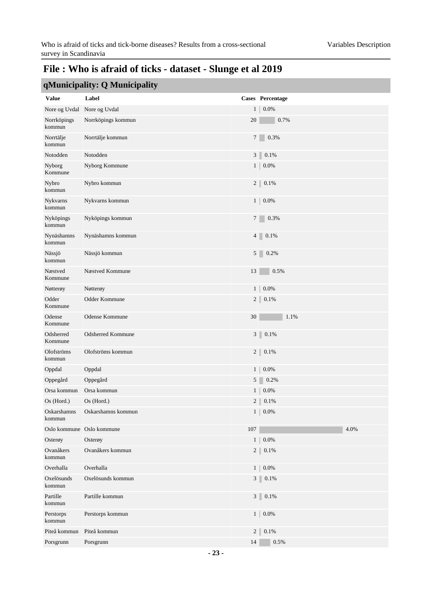| qMunicipality: Q Municipality |  |
|-------------------------------|--|
|-------------------------------|--|

|                       | $\mathbf{q}$ - and $\mathbf{p}$ and $\mathbf{y}$ . $\mathbf{y}$ and $\mathbf{q}$ and $\mathbf{p}$ |              |                |                  |
|-----------------------|---------------------------------------------------------------------------------------------------|--------------|----------------|------------------|
| <b>Value</b>          | Label                                                                                             |              |                | Cases Percentage |
| Nore og Uvdal         | Nore og Uvdal                                                                                     | $\mathbf{1}$ |                | 0.0%             |
| Norrköpings<br>kommun | Norrköpings kommun                                                                                | 20           |                | 0.7%             |
| Norrtälje<br>kommun   | Norrtälje kommun                                                                                  |              | $7 \mid$       | 0.3%             |
| Notodden              | Notodden                                                                                          |              |                | $3 \ 0.1\%$      |
| Nyborg<br>Kommune     | Nyborg Kommune                                                                                    |              | 1              | 0.0%             |
| Nybro<br>kommun       | Nybro kommun                                                                                      |              |                | $2$   $0.1\%$    |
| Nykvarns<br>kommun    | Nykvarns kommun                                                                                   |              | $1\vert$       | 0.0%             |
| Nyköpings<br>kommun   | Nyköpings kommun                                                                                  |              | 7              | 0.3%             |
| Nynäshamns<br>kommun  | Nynäshamns kommun                                                                                 |              | 4              | 0.1%             |
| Nässjö<br>kommun      | Nässjö kommun                                                                                     |              |                | 5 0.2%           |
| Næstved<br>Kommune    | Næstved Kommune                                                                                   | 13           |                | 0.5%             |
| Nøtterøy              | Nøtterøy                                                                                          |              | 1 <sup>1</sup> | 0.0%             |
| Odder<br>Kommune      | Odder Kommune                                                                                     |              | $2 \parallel$  | $0.1\%$          |
| Odense<br>Kommune     | Odense Kommune                                                                                    | $30\,$       |                | 1.1%             |
| Odsherred<br>Kommune  | <b>Odsherred Kommune</b>                                                                          |              |                | $3 \ 0.1\%$      |
| Olofströms<br>kommun  | Olofströms kommun                                                                                 |              |                | $2 \ 0.1\%$      |
| Oppdal                | Oppdal                                                                                            |              | 1              | 0.0%             |
| Oppegård              | Oppegård                                                                                          |              |                | $5 \ 0.2\%$      |
| Orsa kommun           | Orsa kommun                                                                                       |              | 1 <sup>1</sup> | 0.0%             |
| Os (Hord.)            | $Os$ (Hord.)                                                                                      |              | 2              | 0.1%             |
| Oskarshamns<br>kommun | Oskarshamns kommun                                                                                |              |                | $1 \vert 0.0\%$  |
|                       | Oslo kommune Oslo kommune                                                                         | $107\,$      |                | 4.0%             |
| Osterøy               | Osterøy                                                                                           |              | 1 <sup>1</sup> | 0.0%             |
| Ovanåkers<br>kommun   | Ovanåkers kommun                                                                                  |              | $2 \parallel$  | 0.1%             |
| Overhalla             | Overhalla                                                                                         |              | 1              | $0.0\%$          |
| Oxelösunds<br>kommun  | Oxelösunds kommun                                                                                 |              | 3              | 0.1%             |
| Partille<br>kommun    | Partille kommun                                                                                   |              |                | $3$   $0.1\%$    |
| Perstorps<br>kommun   | Perstorps kommun                                                                                  |              | 1              | 0.0%             |
| Piteå kommun          | Piteå kommun                                                                                      |              | $2 \parallel$  | $0.1\%$          |
| Porsgrunn             | Porsgrunn                                                                                         | 14           |                | $0.5\%$          |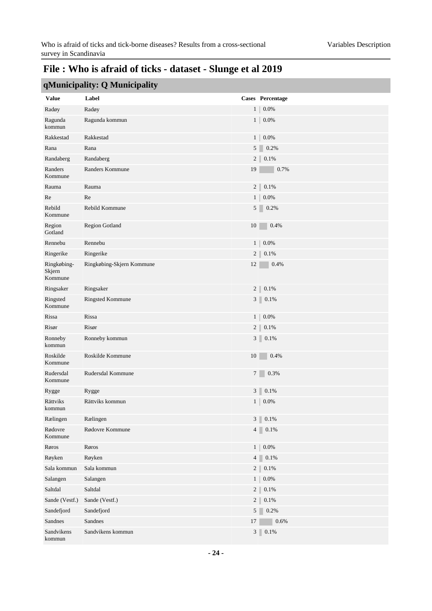|  | qMunicipality: Q Municipality |
|--|-------------------------------|
|--|-------------------------------|

|                                  | $\mathbf{q}$ - $\mathbf{r}$ and $\mathbf{r}$ $\mathbf{r}$ $\mathbf{r}$ $\mathbf{r}$ $\mathbf{r}$ and $\mathbf{r}$ $\mathbf{r}$ and $\mathbf{r}$ |                           |
|----------------------------------|-------------------------------------------------------------------------------------------------------------------------------------------------|---------------------------|
| <b>Value</b>                     | Label                                                                                                                                           | Cases Percentage          |
| Radøy                            | Radøy                                                                                                                                           | $0.0\%$<br>1 <sup>1</sup> |
| Ragunda<br>kommun                | Ragunda kommun                                                                                                                                  | 0.0%<br>1 <sup>1</sup>    |
| Rakkestad                        | Rakkestad                                                                                                                                       | $1\vert$<br>0.0%          |
| Rana                             | Rana                                                                                                                                            | 5<br>0.2%                 |
| Randaberg                        | Randaberg                                                                                                                                       | $2 \parallel$<br>0.1%     |
| Randers<br>Kommune               | Randers Kommune                                                                                                                                 | 19<br>0.7%                |
| Rauma                            | Rauma                                                                                                                                           | 2 <sup>1</sup><br>0.1%    |
| Re                               | Re                                                                                                                                              | 1 <sup>1</sup><br>$0.0\%$ |
| Rebild<br>Kommune                | Rebild Kommune                                                                                                                                  | $5 \ 0.2\%$               |
| Region<br>Gotland                | Region Gotland                                                                                                                                  | 10<br>0.4%                |
| Rennebu                          | Rennebu                                                                                                                                         | 1 <sup>1</sup><br>$0.0\%$ |
| Ringerike                        | Ringerike                                                                                                                                       | 2 <sup>1</sup><br>0.1%    |
| Ringkøbing-<br>Skjern<br>Kommune | Ringkøbing-Skjern Kommune                                                                                                                       | 12<br>0.4%                |
| Ringsaker                        | Ringsaker                                                                                                                                       | $2 \parallel$<br>0.1%     |
| Ringsted<br>Kommune              | Ringsted Kommune                                                                                                                                | 3<br>0.1%                 |
| Rissa                            | Rissa                                                                                                                                           | 1 <sup>1</sup><br>$0.0\%$ |
| Risør                            | Risør                                                                                                                                           | 2 <sup>1</sup><br>0.1%    |
| Ronneby<br>kommun                | Ronneby kommun                                                                                                                                  | $3$   $0.1\%$             |
| Roskilde<br>Kommune              | Roskilde Kommune                                                                                                                                | 10<br>0.4%                |
| Rudersdal<br>Kommune             | Rudersdal Kommune                                                                                                                               | 7 <sup>1</sup><br>0.3%    |
| Rygge                            | Rygge                                                                                                                                           | 3<br>0.1%                 |
| Rättviks<br>kommun               | Rättviks kommun                                                                                                                                 | 0.0%<br>$\mathbf{1}$      |
| Rælingen                         | Rælingen                                                                                                                                        | 3<br>$0.1\%$              |
| Rødovre<br>Kommune               | Rødovre Kommune                                                                                                                                 | 0.1%<br>$\overline{4}$    |
| Røros                            | Røros                                                                                                                                           | $0.0\%$<br>1 <sup>1</sup> |
| Røyken                           | Røyken                                                                                                                                          | $\overline{4}$<br>0.1%    |
| Sala kommun                      | Sala kommun                                                                                                                                     | $2 \parallel$<br>$0.1\%$  |
| Salangen                         | Salangen                                                                                                                                        | $\mathbf{1}$<br>$0.0\%$   |
| Saltdal                          | Saltdal                                                                                                                                         | 2<br>$0.1\%$              |
| Sande (Vestf.)                   | Sande (Vestf.)                                                                                                                                  | 2 <sup>1</sup><br>0.1%    |
| Sandefjord                       | Sandefjord                                                                                                                                      | 5<br>0.2%                 |
| Sandnes                          | Sandnes                                                                                                                                         | 0.6%<br>17                |
| Sandvikens<br>kommun             | Sandvikens kommun                                                                                                                               | $3$   $0.1\%$             |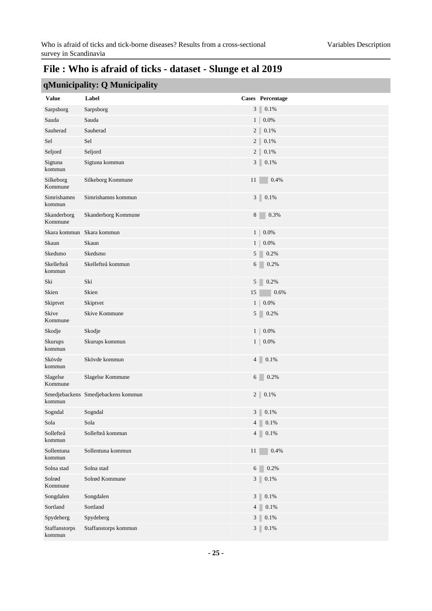|                          | qMunicipality: Q Municipality      |                |                           |
|--------------------------|------------------------------------|----------------|---------------------------|
| <b>Value</b>             | Label                              |                | Cases Percentage          |
| Sarpsborg                | Sarpsborg                          |                | $3 \parallel$<br>$0.1\%$  |
| Sauda                    | Sauda                              | $\mathbf{1}$   | $0.0\%$                   |
| Sauherad                 | Sauherad                           |                | 2<br>0.1%                 |
| Sel                      | Sel                                |                | 2<br>0.1%                 |
| Seljord                  | Seljord                            |                | $2 \parallel$<br>0.1%     |
| Sigtuna<br>kommun        | Sigtuna kommun                     |                | 3<br>0.1%                 |
| Silkeborg<br>Kommune     | Silkeborg Kommune                  | 11             | 0.4%                      |
| Simrishamns<br>kommun    | Simrishamns kommun                 |                | 3<br>0.1%                 |
| Skanderborg<br>Kommune   | Skanderborg Kommune                | 8              | 0.3%                      |
|                          | Skara kommun Skara kommun          | 1 <sup>1</sup> | 0.0%                      |
| Skaun                    | Skaun                              | 1              | $0.0\%$                   |
| Skedsmo                  | Skedsmo                            |                | 5 <sup>1</sup><br>0.2%    |
| Skellefteå<br>kommun     | Skellefteå kommun                  | 6 <sup>1</sup> | 0.2%                      |
| Ski                      | Ski                                |                | $5 \ 0.2\%$               |
| Skien                    | Skien                              | 15             | 0.6%                      |
| Skiptvet                 | Skiptvet                           | $\mathbf{1}$   | 0.0%                      |
| Skive<br>Kommune         | Skive Kommune                      |                | $5 \ 0.2\%$               |
| Skodje                   | Skodje                             | 1              | $0.0\%$                   |
| <b>Skurups</b><br>kommun | Skurups kommun                     | 1 <sup>1</sup> | 0.0%                      |
| Skövde<br>kommun         | Skövde kommun                      |                | 4<br>0.1%                 |
| Slagelse<br>Kommune      | Slagelse Kommune                   |                | $6 \Box$<br>0.2%          |
| kommun                   | Smedjebackens Smedjebackens kommun |                | 2<br>0.1%                 |
| Sogndal                  | Sogndal                            |                | 3 <sup>7</sup><br>$0.1\%$ |
| Sola                     | Sola                               | 4 <sup>1</sup> | 0.1%                      |
| Sollefteå<br>kommun      | Sollefteå kommun                   |                | 4<br>0.1%                 |
| Sollentuna<br>kommun     | Sollentuna kommun                  | 11             | 0.4%                      |
| Solna stad               | Solna stad                         |                | 0.2%<br>6                 |
| Solrød<br>Kommune        | Solrød Kommune                     |                | 3<br>$0.1\%$              |
| Songdalen                | Songdalen                          |                | $3 \parallel$<br>$0.1\%$  |
| Sortland                 | Sortland                           |                | $4 \mid$<br>0.1%          |
| Spydeberg                | Spydeberg                          |                | $3 \parallel$<br>$0.1\%$  |
| Staffanstorps<br>kommun  | Staffanstorps kommun               |                | 3<br>0.1%                 |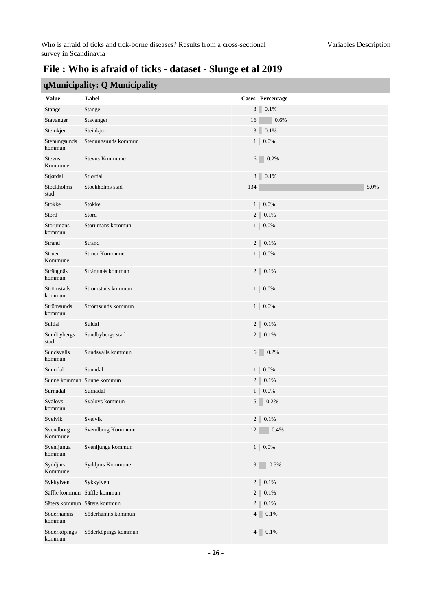|                             | qMunicipality: Q Municipality |                |                           |
|-----------------------------|-------------------------------|----------------|---------------------------|
| <b>Value</b>                | Label                         |                | Cases Percentage          |
| Stange                      | Stange                        |                | $3 \ 0.1\%$               |
| Stavanger                   | Stavanger                     | 16             | 0.6%                      |
| Steinkjer                   | Steinkjer                     |                | $3 \ 0.1\%$               |
| Stenungsunds<br>kommun      | Stenungsunds kommun           |                | 0.0%<br>1 <sup>1</sup>    |
| <b>Stevns</b><br>Kommune    | <b>Stevns Kommune</b>         |                | $6 \t 0.2\%$              |
| Stjørdal                    | Stjørdal                      |                | $3 \ 0.1\%$               |
| Stockholms<br>stad          | Stockholms stad               | 134            | 5.0%                      |
| Stokke                      | Stokke                        | 1 <sup>1</sup> | 0.0%                      |
| Stord                       | Stord                         |                | 2 <sup>1</sup><br>0.1%    |
| <b>Storumans</b><br>kommun  | Storumans kommun              |                | 1<br>0.0%                 |
| Strand                      | Strand                        |                | $2 \parallel$<br>0.1%     |
| Struer<br>Kommune           | <b>Struer Kommune</b>         |                | 1 <sup>1</sup><br>0.0%    |
| Strängnäs<br>kommun         | Strängnäs kommun              |                | $2   0.1\%$               |
| Strömstads<br>kommun        | Strömstads kommun             |                | 1 <sup>1</sup><br>0.0%    |
| Strömsunds<br>kommun        | Strömsunds kommun             |                | 1 <sup>1</sup><br>0.0%    |
| Suldal                      | Suldal                        |                | $2 \parallel$<br>0.1%     |
| Sundbybergs<br>stad         | Sundbybergs stad              |                | $2 \parallel$<br>0.1%     |
| Sundsvalls<br>kommun        | Sundsvalls kommun             |                | $6 \t 0.2\%$              |
| Sunndal                     | Sunndal                       |                | 1<br>0.0%                 |
|                             | Sunne kommun Sunne kommun     |                | 2 <sup>1</sup><br>0.1%    |
| Surnadal                    | Surnadal                      | $\mathbf{1}$   | 0.0%                      |
| Svalövs<br>kommun           | Svalövs kommun                | 5              | 0.2%                      |
| Svelvik                     | Svelvik                       |                | $0.1\%$<br>2 <sup>1</sup> |
| Svendborg<br>Kommune        | Svendborg Kommune             | 12             | 0.4%                      |
| Svenljunga<br>kommun        | Svenljunga kommun             |                | $0.0\%$<br>1 <sup>1</sup> |
| Syddjurs<br>Kommune         | Syddjurs Kommune              | 9              | 0.3%                      |
| Sykkylven                   | Sykkylven                     |                | 2<br>$0.1\%$              |
| Säffle kommun Säffle kommun |                               |                | 2 <sup>1</sup><br>$0.1\%$ |
| Säters kommun Säters kommun |                               |                | $2 \parallel$<br>0.1%     |
| Söderhamns<br>kommun        | Söderhamns kommun             |                | 4<br>0.1%                 |
| Söderköpings<br>kommun      | Söderköpings kommun           |                | $4 \Box$<br>0.1%          |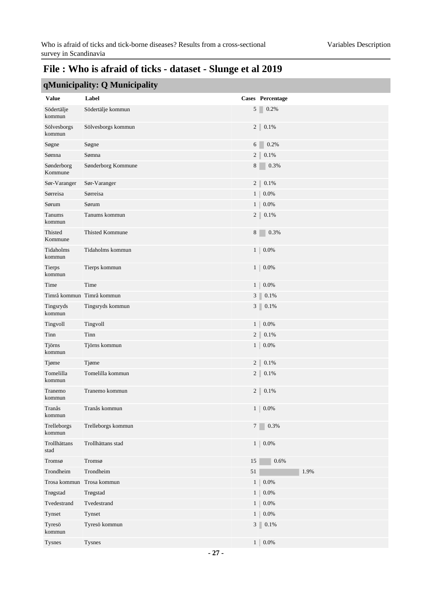|                       | читатегрансу. У гланистрансу |                           |
|-----------------------|------------------------------|---------------------------|
| <b>Value</b>          | Label                        | <b>Cases</b> Percentage   |
| Södertälje<br>kommun  | Södertälje kommun            | 5 <sup>1</sup><br>0.2%    |
| Sölvesborgs<br>kommun | Sölvesborgs kommun           | $2$   $0.1\%$             |
| Søgne                 | Søgne                        | $6 \t 0.2\%$              |
| Sømna                 | Sømna                        | $2 \parallel$<br>$0.1\%$  |
| Sønderborg<br>Kommune | Sønderborg Kommune           | 8<br>0.3%                 |
| Sør-Varanger          | Sør-Varanger                 | $2 \parallel$<br>$0.1\%$  |
| Sørreisa              | Sørreisa                     | 1<br>$0.0\%$              |
| Sørum                 | Sørum                        | $1\vert$<br>0.0%          |
| Tanums<br>kommun      | Tanums kommun                | $2 \mid 0.1\%$            |
| Thisted<br>Kommune    | <b>Thisted Kommune</b>       | 8<br>0.3%                 |
| Tidaholms<br>kommun   | Tidaholms kommun             | 1<br>0.0%                 |
| Tierps<br>kommun      | Tierps kommun                | 1 <br>0.0%                |
| Time                  | Time                         | 1<br>0.0%                 |
|                       | Timrå kommun Timrå kommun    | $3 \parallel$<br>$0.1\%$  |
| Tingsryds<br>kommun   | Tingsryds kommun             | $3 \ 0.1\%$               |
| Tingvoll              | Tingvoll                     | $1\vert$<br>$0.0\%$       |
| Tinn                  | Tinn                         | $2 \parallel$<br>0.1%     |
| Tjörns<br>kommun      | Tjörns kommun                | 1 <sup>1</sup><br>0.0%    |
| Tjøme                 | Tjøme                        | $2 \parallel 0.1\%$       |
| Tomelilla<br>kommun   | Tomelilla kommun             | $2$   $0.1\%$             |
| Tranemo<br>kommun     | Tranemo kommun               | $2$   $0.1\%$             |
| Tranås<br>kommun      | Tranås kommun                | $1 \,   \, 0.0\%$         |
| Trelleborgs<br>kommun | Trelleborgs kommun           | $7\overline{ }$<br>0.3%   |
| Trollhättans<br>stad  | Trollhättans stad            | $1\vert$<br>0.0%          |
| Tromsø                | Tromsø                       | 15<br>0.6%                |
| Trondheim             | Trondheim                    | 1.9%<br>51                |
| Trosa kommun          | Trosa kommun                 | $0.0\%$<br>1 <sup>1</sup> |
| Trøgstad              | Trøgstad                     | 1 <sup>1</sup><br>$0.0\%$ |
| Tvedestrand           | Tvedestrand                  | 1<br>0.0%                 |
| Tynset                | Tynset                       | 1 <sup>1</sup><br>0.0%    |
| Tyresö<br>kommun      | Tyresö kommun                | $3 \square$<br>0.1%       |
| Tysnes                | Tysnes                       | 1 <sup>1</sup><br>0.0%    |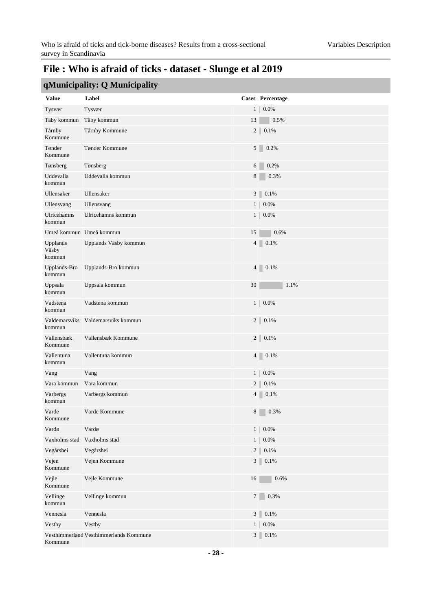|                             | qMunicipality: Q Municipality          |              |                           |
|-----------------------------|----------------------------------------|--------------|---------------------------|
| <b>Value</b>                | Label                                  |              | Cases Percentage          |
| Tysvær                      | Tysvær                                 |              | $0.0\%$<br>1 <sup>1</sup> |
| Täby kommun                 | Täby kommun                            | 13           | 0.5%                      |
| Tårnby<br>Kommune           | Tårnby Kommune                         |              | $2$   $0.1\%$             |
| Tønder<br>Kommune           | Tønder Kommune                         |              | 5 0.2%                    |
| Tønsberg                    | Tønsberg                               |              | 0.2%<br>$6 \mid$          |
| Uddevalla<br>kommun         | Uddevalla kommun                       | 8            | 0.3%                      |
| Ullensaker                  | Ullensaker                             |              | $3 \parallel$<br>0.1%     |
| Ullensvang                  | Ullensvang                             |              | 1 <sup>1</sup><br>$0.0\%$ |
| Ulricehamns<br>kommun       | Ulricehamns kommun                     |              | 1 <sup>1</sup><br>$0.0\%$ |
| Umeå kommun Umeå kommun     |                                        | 15           | 0.6%                      |
| Upplands<br>Väsby<br>kommun | Upplands Väsby kommun                  |              | $4 \ 0.1\%$               |
| Upplands-Bro<br>kommun      | Upplands-Bro kommun                    |              | $4 \ 0.1\%$               |
| Uppsala<br>kommun           | Uppsala kommun                         | 30           | 1.1%                      |
| Vadstena<br>kommun          | Vadstena kommun                        |              | $0.0\%$<br>1 <sup>1</sup> |
| kommun                      | Valdemarsviks Valdemarsviks kommun     |              | $2$   $0.1\%$             |
| Vallensbæk<br>Kommune       | Vallensbæk Kommune                     |              | $2 \mid 0.1\%$            |
| Vallentuna<br>kommun        | Vallentuna kommun                      |              | $4 \ 0.1\%$               |
| Vang                        | Vang                                   |              | 1 <sup>1</sup><br>0.0%    |
| Vara kommun                 | Vara kommun                            |              | $2 \parallel$<br>0.1%     |
| Varbergs<br>kommun          | Varbergs kommun                        |              | 4 <sup>1</sup><br>0.1%    |
| Varde<br>Kommune            | Varde Kommune                          | $8\,$        | 0.3%                      |
| Vardø                       | Vardø                                  |              | $0.0\%$<br>1 <sup>1</sup> |
| Vaxholms stad               | Vaxholms stad                          | $\mathbf{1}$ | $0.0\%$                   |
| Vegårshei                   | Vegårshei                              |              | 2<br>0.1%                 |
| Vejen<br>Kommune            | Vejen Kommune                          |              | $3 \square$<br>0.1%       |
| Vejle<br>Kommune            | Vejle Kommune                          | 16           | 0.6%                      |
| Vellinge<br>kommun          | Vellinge kommun                        |              | 0.3%<br>$7^{\circ}$       |
| Vennesla                    | Vennesla                               |              | 3<br>$0.1\%$              |
| Vestby                      | Vestby                                 |              | 1 <br>$0.0\%$             |
| Kommune                     | Vesthimmerland Vesthimmerlands Kommune |              | $3 \ 0.1\%$               |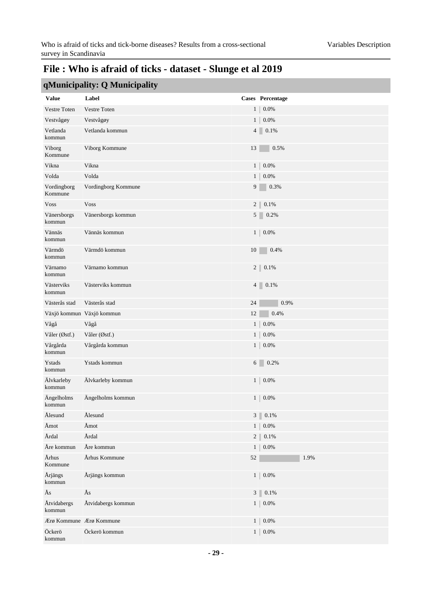|  | qMunicipality: Q Municipality |
|--|-------------------------------|
|--|-------------------------------|

|                           | читатегрансу. У гланистрансу |                |                   |
|---------------------------|------------------------------|----------------|-------------------|
| <b>Value</b>              | Label                        |                | Cases Percentage  |
| <b>Vestre Toten</b>       | <b>Vestre Toten</b>          | 1 <sup>1</sup> | $0.0\%$           |
| Vestvågøy                 | Vestvågøy                    | 1 <sup>1</sup> | $0.0\%$           |
| Vetlanda<br>kommun        | Vetlanda kommun              |                | 4<br>0.1%         |
| Viborg<br>Kommune         | Viborg Kommune               | 13             | 0.5%              |
| Vikna                     | Vikna                        | 1 <sup>1</sup> | 0.0%              |
| Volda                     | Volda                        | 1              | $0.0\%$           |
| Vordingborg<br>Kommune    | Vordingborg Kommune          | 9              | $0.3\%$           |
| <b>Voss</b>               | <b>Voss</b>                  | 2              | 0.1%              |
| Vänersborgs<br>kommun     | Vänersborgs kommun           |                | $5 \ 0.2\%$       |
| Vännäs<br>kommun          | Vännäs kommun                |                | $1 \,   \, 0.0\%$ |
| Värmdö<br>kommun          | Värmdö kommun                | 10             | 0.4%              |
| Värnamo<br>kommun         | Värnamo kommun               |                | $2 \mid 0.1\%$    |
| Västerviks<br>kommun      | Västerviks kommun            |                | 4 0.1%            |
| Västerås stad             | Västerås stad                | 24             | 0.9%              |
| Växjö kommun Växjö kommun |                              | 12             | 0.4%              |
| Vågå                      | Vågå                         | 1 <sup>1</sup> | 0.0%              |
| Våler (Østf.)             | Våler (Østf.)                | 1 <sup>1</sup> | 0.0%              |
| Vårgårda<br>kommun        | Vårgårda kommun              |                | $1 \,   \, 0.0\%$ |
| Ystads<br>kommun          | Ystads kommun                |                | $6\qquad 0.2\%$   |
| Älvkarleby<br>kommun      | Älvkarleby kommun            |                | $1   0.0\%$       |
| Ängelholms<br>kommun      | Ängelholms kommun            | 1 <sup>1</sup> | 0.0%              |
| Ålesund                   | Ålesund                      | 3              | $0.1\%$           |
| Åmot                      | Åmot                         | 1 <sup>1</sup> | $0.0\%$           |
| Årdal                     | Årdal                        | 2              | $0.1\%$           |
| Åre kommun                | Åre kommun                   | 1              | $0.0\%$           |
| Århus<br>Kommune          | Århus Kommune                | 52             | 1.9%              |
| Årjängs<br>kommun         | Årjängs kommun               | 1 <sup>1</sup> | 0.0%              |
| Ås                        | Ås                           |                | 3<br>$0.1\%$      |
| Åtvidabergs<br>kommun     | Åtvidabergs kommun           | 1 <sup>1</sup> | 0.0%              |
| Ærø Kommune Ærø Kommune   |                              | 1 <sup>1</sup> | $0.0\%$           |
| Öckerö<br>kommun          | Öckerö kommun                | 1 <sup>1</sup> | 0.0%              |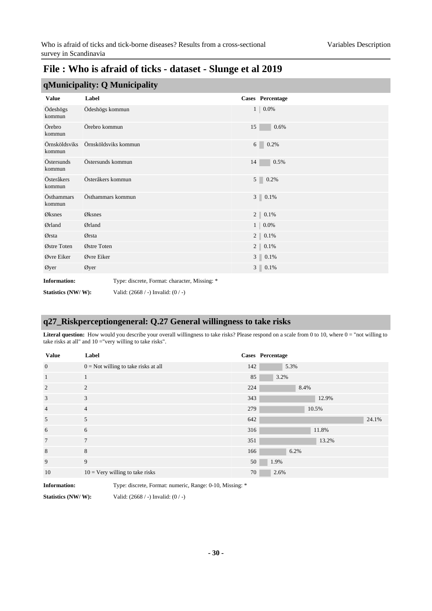|                         | qMunicipality: Q Municipality                 |    |                        |
|-------------------------|-----------------------------------------------|----|------------------------|
| <b>Value</b>            | Label                                         |    | Cases Percentage       |
| Ödeshögs<br>kommun      | Ödeshögs kommun                               |    | $1 \,   \, 0.0\%$      |
| Örebro<br>kommun        | Örebro kommun                                 | 15 | 0.6%                   |
| Örnsköldsviks<br>kommun | Örnsköldsviks kommun                          | 6  | 0.2%                   |
| Östersunds<br>kommun    | Östersunds kommun                             | 14 | 0.5%                   |
| Österåkers<br>kommun    | Österåkers kommun                             |    | 5 <sup>1</sup><br>0.2% |
| Östhammars<br>kommun    | Östhammars kommun                             |    | $3$ $\,$ 0.1%          |
| Øksnes                  | Øksnes                                        |    | $2 \parallel 0.1\%$    |
| Ørland                  | Ørland                                        |    | $1 \ 0.0\%$            |
| Ørsta                   | Ørsta                                         |    | $2 \ 0.1\%$            |
| Østre Toten             | Østre Toten                                   |    | $2 \ 0.1\%$            |
| Øvre Eiker              | Øvre Eiker                                    |    | $3 \ 0.1\%$            |
| Øyer                    | Øyer                                          |    | $3 \ 0.1\%$            |
| <b>Information:</b>     | Type: discrete, Format: character, Missing: * |    |                        |

**Statistics (NW/ W):** Valid: (2668 / -) Invalid: (0 / -)

### <span id="page-29-0"></span>**q27\_Riskperceptiongeneral: Q.27 General willingness to take risks**

Literal question: How would you describe your overall willingness to take risks? Please respond on a scale from 0 to 10, where 0 = "not willing to take risks at all" and 10 ="very willing to take risks".

| <b>Value</b>        | Label                                                    |     | Cases Percentage |
|---------------------|----------------------------------------------------------|-----|------------------|
| $\overline{0}$      | $0 =$ Not willing to take risks at all                   | 142 | 5.3%             |
| $\mathbf{1}$        | 1                                                        | 85  | 3.2%             |
| 2                   | $\overline{2}$                                           | 224 | 8.4%             |
| 3                   | 3                                                        | 343 | 12.9%            |
| $\overline{4}$      | $\overline{4}$                                           | 279 | 10.5%            |
| 5                   | 5                                                        | 642 | 24.1%            |
| 6                   | 6                                                        | 316 | 11.8%            |
| $7\phantom{.0}$     | $\overline{7}$                                           | 351 | 13.2%            |
| 8                   | 8                                                        | 166 | 6.2%             |
| 9                   | 9                                                        | 50  | 1.9%             |
| 10                  | $10 = \text{Very willing to take risks}$                 | 70  | 2.6%             |
| <b>Information:</b> | Type: discrete, Format: numeric, Range: 0-10, Missing: * |     |                  |

**Statistics (NW/ W):** Valid: (2668 / -) Invalid: (0 / -)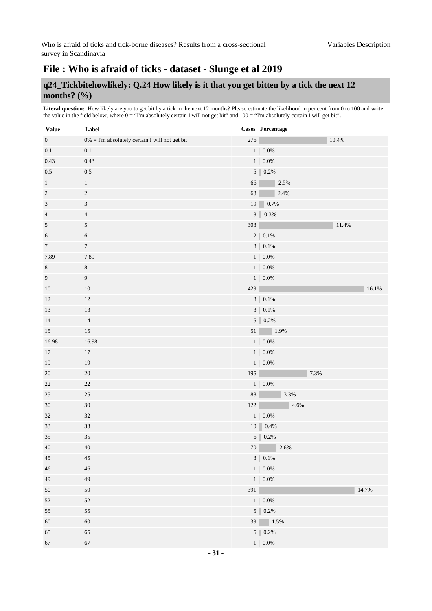### <span id="page-30-0"></span>**q24\_Tickbitehowlikely: Q.24 How likely is it that you get bitten by a tick the next 12 months? (%)**

Literal question: How likely are you to get bit by a tick in the next 12 months? Please estimate the likelihood in per cent from 0 to 100 and write the value in the field below, where  $0 = 'Tm$  absolutely certain I will not get bit" and  $100 = 'Tm$  absolutely certain I will get bit".

| <b>Value</b>                | Label                                             |         | Cases Percentage    |
|-----------------------------|---------------------------------------------------|---------|---------------------|
| $\boldsymbol{0}$            | $0\%$ = I'm absolutely certain I will not get bit | $276\,$ | 10.4%               |
| 0.1                         | 0.1                                               |         | $1   0.0\%$         |
| 0.43                        | 0.43                                              |         | $1\,$   0.0%        |
| $0.5\,$                     | $0.5\,$                                           |         | $5$   $0.2\%$       |
| $\,1\,$                     | $\mathbf{1}$                                      | 66      | $2.5\%$             |
| $\sqrt{2}$                  | $\sqrt{2}$                                        | 63      | $2.4\%$             |
| $\ensuremath{\mathfrak{Z}}$ | $\ensuremath{\mathfrak{Z}}$                       |         | 19 $\boxed{0.7\%}$  |
| $\overline{4}$              | $\sqrt{4}$                                        |         | $8$   $0.3\%$       |
| $\sqrt{5}$                  | $\sqrt{5}$                                        | 303     | 11.4%               |
| $\sqrt{6}$                  | 6                                                 |         | $2\,$   $\,0.1\%$   |
| $7\phantom{.0}$             | $\boldsymbol{7}$                                  |         | $3$   0.1%          |
| 7.89                        | 7.89                                              |         | $1   0.0\%$         |
| $\,8\,$                     | $\,8\,$                                           |         | $1\,$   0.0%        |
| $\boldsymbol{9}$            | $\boldsymbol{9}$                                  |         | $1\,$   0.0%        |
| 10                          | $10\,$                                            | 429     | 16.1%               |
| 12                          | 12                                                |         | $3   0.1\%$         |
| 13                          | 13                                                | 3       | 0.1%                |
| 14                          | 14                                                |         | $5 \ 0.2\%$         |
| 15                          | 15                                                |         | 51 1.9%             |
| 16.98                       | 16.98                                             |         | $1 \,   \, 0.0\%$   |
| 17                          | $17\,$                                            |         | $1\,$   0.0%        |
| 19                          | 19                                                |         | $1\,$   $0.0\%$     |
| 20                          | 20                                                | 195     | 7.3%                |
| 22                          | 22                                                |         | $1 \,   \, 0.0\%$   |
| 25                          | $25\,$                                            | $88\,$  | 3.3%                |
| 30                          | $30\,$                                            | $122\,$ | 4.6%                |
| 32                          | 32                                                |         | $1 \,   \, 0.0\%$   |
| 33                          | 33                                                |         | $10$ $\,$ $\,$ 0.4% |
| 35                          | $35\,$                                            |         | $6 \,   \, 0.2\%$   |
| 40                          | $40\,$                                            | 70      | 2.6%                |
| $45\,$                      | $45\,$                                            |         | $3 \mid 0.1\%$      |
| 46                          | $46\,$                                            |         | $1   0.0\%$         |
| $49\,$                      | 49                                                |         | $1\,$   0.0%        |
| 50                          | $50\,$                                            | 391     | 14.7%               |
| 52                          | $52\,$                                            |         | $1   0.0\%$         |
| 55                          | 55                                                |         | $5$   $0.2\%$       |
| $60\,$                      | 60                                                |         | 39 1.5%             |
| 65                          | 65                                                |         | $5 \ 0.2\%$         |
| $67\,$                      | 67                                                |         | $1 \,   \, 0.0\%$   |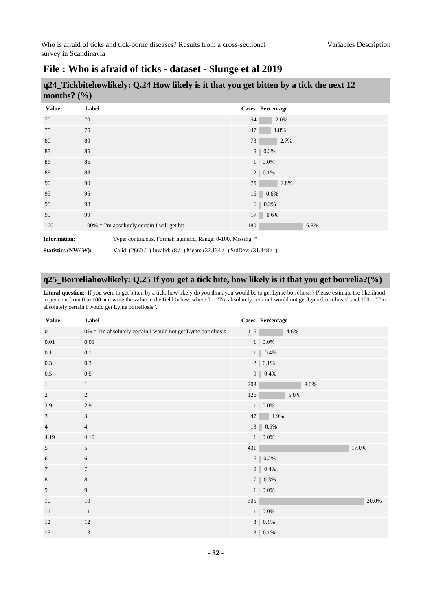| q24_Tickbitehowlikely: Q.24 How likely is it that you get bitten by a tick the next 12 |  |
|----------------------------------------------------------------------------------------|--|
| months? $(\% )$                                                                        |  |

| <b>Value</b>        | Label                                                       |     | Cases Percentage  |
|---------------------|-------------------------------------------------------------|-----|-------------------|
| 70                  | 70                                                          | 54  | 2.0%              |
| 75                  | 75                                                          | 47  | 1.8%              |
| 80                  | 80                                                          | 73  | 2.7%              |
| 85                  | 85                                                          |     | $5 \mid 0.2\%$    |
| 86                  | 86                                                          |     | $1 \ 0.0\%$       |
| 88                  | 88                                                          |     | $2 \mid 0.1\%$    |
| 90                  | 90                                                          | 75  | 2.8%              |
| 95                  | 95                                                          |     | 16 0.6%           |
| 98                  | 98                                                          |     | $6 \,   \, 0.2\%$ |
| 99                  | 99                                                          |     | $17 \ 0.6\%$      |
| 100                 | $100\%$ = I'm absolutely certain I will get bit             | 180 | 6.8%              |
| <b>Information:</b> | Type: continuous, Format: numeric, Range: 0-100, Missing: * |     |                   |

**Statistics (NW/ W):** Valid: (2660 / -) Invalid: (8 / -) Mean: (32.134 / -) StdDev: (31.848 / -)

### <span id="page-31-0"></span>**q25\_Borreliahowlikely: Q.25 If you get a tick bite, how likely is it that you get borrelia?(%)**

**Literal question:** If you were to get bitten by a tick, how likely do you think you would be to get Lyme borreliosis? Please estimate the likelihood in per cent from 0 to 100 and write the value in the field below, where  $0 =$  "I'm absolutely certain I would not get Lyme borreliosis" and  $100 =$  "I'm absolutely certain I would get Lyme borreliosis".

| <b>Value</b>     | Label                                                           |     | Cases Percentage            |
|------------------|-----------------------------------------------------------------|-----|-----------------------------|
| $\mathbf{0}$     | $0\%$ = I'm absolutely certain I would not get Lyme borreliosis | 116 | 4.6%                        |
| $0.01\,$         | 0.01                                                            |     | $1 \,   \, 0.0\%$           |
| 0.1              | 0.1                                                             |     | $11$ $\blacksquare$ $0.4\%$ |
| 0.3              | 0.3                                                             |     | $2 \mid 0.1\%$              |
| $0.5\,$          | $0.5\,$                                                         |     | $9 \ 0.4\%$                 |
| $\mathbf{1}$     | $\mathbf{1}$                                                    | 203 | 8.0%                        |
| $\overline{2}$   | 2                                                               | 126 | 5.0%                        |
| 2.9              | 2.9                                                             |     | $1\,$   0.0%                |
| $\mathfrak{Z}$   | $\mathfrak{Z}$                                                  | 47  | $\vert$ 1.9%                |
| $\overline{4}$   | $\overline{4}$                                                  |     | 13 0.5%                     |
| 4.19             | 4.19                                                            |     | $1\,$   0.0%                |
| 5                | 5                                                               | 431 | 17.0%                       |
| 6                | 6                                                               |     | $6 \,   \, 0.2\%$           |
| $\boldsymbol{7}$ | $\overline{7}$                                                  |     | 9 $\vert 0.4\%$             |
| $\,8\,$          | $\,8$                                                           |     | $7 \parallel 0.3\%$         |
| 9                | $\boldsymbol{9}$                                                |     | $1\,$   0.0%                |
| 10               | $10\,$                                                          | 505 | 20.0%                       |
| 11               | 11                                                              |     | $1\,$   $0.0\%$             |
| 12               | 12                                                              |     | $3   0.1\%$                 |
| 13               | 13                                                              |     | $3   0.1\%$                 |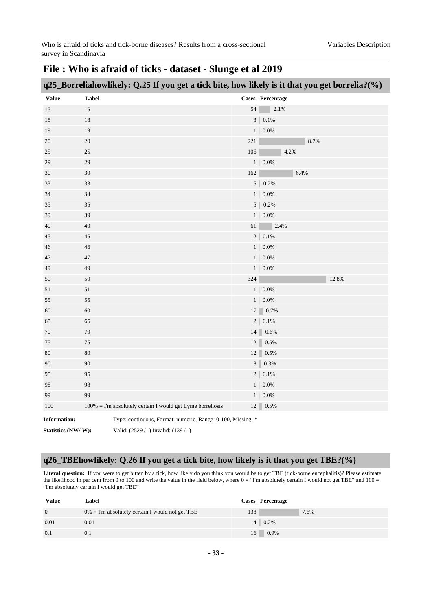|                     | q25_Borreliahowlikely: Q.25 If you get a tick bite, how likely is it that you get borrelia?(%) |                |                      |  |
|---------------------|------------------------------------------------------------------------------------------------|----------------|----------------------|--|
| <b>Value</b>        | Label                                                                                          |                | Cases Percentage     |  |
| 15                  | 15                                                                                             | 54             | 2.1%                 |  |
| 18                  | 18                                                                                             |                | $3   0.1\%$          |  |
| 19                  | 19                                                                                             |                | $1\,$   0.0%         |  |
| 20                  | $20\,$                                                                                         | 221            | 8.7%                 |  |
| 25                  | 25                                                                                             | $106\,$        | 4.2%                 |  |
| 29                  | 29                                                                                             |                | $1 \,   \, 0.0\%$    |  |
| 30                  | 30                                                                                             | 162            | 6.4%                 |  |
| 33                  | 33                                                                                             | 5 <sup>1</sup> | 0.2%                 |  |
| 34                  | 34                                                                                             |                | $1 \,   \, 0.0\%$    |  |
| 35                  | 35                                                                                             | 5 <sup>1</sup> | 0.2%                 |  |
| 39                  | 39                                                                                             |                | $1   0.0\%$          |  |
| 40                  | $40\,$                                                                                         | 61             | 2.4%                 |  |
| 45                  | $45\,$                                                                                         |                | $2   0.1\%$          |  |
| 46                  | 46                                                                                             |                | $1 \,   \, 0.0\%$    |  |
| $47\,$              | $47\,$                                                                                         |                | $1   0.0\%$          |  |
| 49                  | 49                                                                                             |                | $1   0.0\%$          |  |
| 50                  | 50                                                                                             | 324            | 12.8%                |  |
| 51                  | 51                                                                                             |                | $1 \,   \, 0.0\%$    |  |
| 55                  | 55                                                                                             |                | $1\,$   0.0%         |  |
| 60                  | 60                                                                                             |                | 17 0.7%              |  |
| 65                  | 65                                                                                             |                | $2\,$   $\,0.1\%$    |  |
| 70                  | $70\,$                                                                                         |                | 14 0.6%              |  |
| 75                  | $75\,$                                                                                         |                | $12 \,$ 0.5%         |  |
| 80                  | 80                                                                                             |                | $12 \parallel 0.5\%$ |  |
| 90                  | 90                                                                                             |                | 8 0.3%               |  |
| 95                  | 95                                                                                             |                | $2   0.1\%$          |  |
| 98                  | 98                                                                                             | $1\vert$       | 0.0%                 |  |
| 99                  | 99                                                                                             |                | $1 \mid 0.0\%$       |  |
| 100                 | 100% = I'm absolutely certain I would get Lyme borreliosis                                     |                | $12 \,$ 0.5%         |  |
| <b>Information:</b> | Type: continuous, Format: numeric, Range: 0-100, Missing: *                                    |                |                      |  |

### <span id="page-32-0"></span>**q26\_TBEhowlikely: Q.26 If you get a tick bite, how likely is it that you get TBE?(%)**

**Statistics (NW/ W):** Valid: (2529 / -) Invalid: (139 / -)

**Literal question:** If you were to get bitten by a tick, how likely do you think you would be to get TBE (tick-borne encephalitis)? Please estimate the likelihood in per cent from 0 to 100 and write the value in the field below, where 0 = "I'm absolutely certain I would not get TBE" and 100 = "I'm absolutely certain I would get TBE"

| <b>Value</b> | Label                                              |     | Cases Percentage |
|--------------|----------------------------------------------------|-----|------------------|
| $\Omega$     | $0\%$ = I'm absolutely certain I would not get TBE | 138 | 7.6%             |
| 0.01         | 0.01                                               |     | $4 \ 0.2\%$      |
| 0.1          | 0.1                                                |     | $16 \ 0.9\%$     |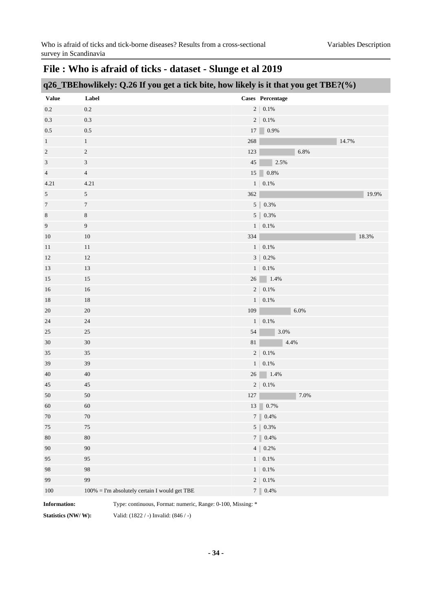|                     | q26_TBEhowlikely: Q.26 If you get a tick bite, how likely is it that you get TBE?(%) |         |                   |
|---------------------|--------------------------------------------------------------------------------------|---------|-------------------|
| <b>Value</b>        | Label                                                                                |         | Cases Percentage  |
| $0.2\,$             | $0.2\,$                                                                              |         | $2   0.1\%$       |
| $0.3\,$             | $0.3\,$                                                                              |         | $2$   0.1%        |
| $0.5\,$             | $0.5\,$                                                                              |         | $17 \ 0.9\%$      |
| $\mathbf{1}$        | $\mathbf{1}$                                                                         | 268     | 14.7%             |
| $\overline{c}$      | $\overline{c}$                                                                       | 123     | 6.8%              |
| 3                   | $\mathfrak{Z}$                                                                       | 45      | 2.5%              |
| $\overline{4}$      | $\overline{4}$                                                                       |         | $15 \ 0.8\%$      |
| 4.21                | 4.21                                                                                 |         | $1   0.1\%$       |
| $\sqrt{5}$          | $\sqrt{5}$                                                                           | 362     | 19.9%             |
| 7                   | $\tau$                                                                               |         | $5 \ 0.3\%$       |
| $\,8\,$             | 8                                                                                    |         | $5$   $0.3\%$     |
| 9                   | 9                                                                                    |         | $1   0.1\%$       |
| 10                  | $10\,$                                                                               | 334     | 18.3%             |
| 11                  | 11                                                                                   |         | $1   0.1\%$       |
| 12                  | 12                                                                                   |         | $3$   $0.2\%$     |
| 13                  | 13                                                                                   |         | $1 \mid 0.1\%$    |
| 15                  | 15                                                                                   |         | $26$ 1.4%         |
| 16                  | 16                                                                                   |         | $2   0.1\%$       |
| 18                  | $18\,$                                                                               |         | $1$   0.1%        |
| 20                  | 20                                                                                   | 109     | 6.0%              |
| 24                  | 24                                                                                   |         | $1 \,   \, 0.1\%$ |
| 25                  | 25                                                                                   | 54      | $3.0\%$           |
| 30                  | $30\,$                                                                               | $81\,$  | 4.4%              |
| 35                  | 35                                                                                   |         | $2$   0.1%        |
| 39                  | 39                                                                                   |         | $1   0.1\%$       |
| 40                  | 40                                                                                   |         | $26$ 1.4%         |
| 45                  | 45                                                                                   |         | $2   0.1\%$       |
| 50                  | 50                                                                                   | $127\,$ | 7.0%              |
| 60                  | $60\,$                                                                               | 13      | 0.7%              |
| 70                  | $70\,$                                                                               | 7       | $0.4\%$           |
| $75\,$              | $75\,$                                                                               | 5       | 0.3%              |
| $80\,$              | $80\,$                                                                               |         | $7 \ 0.4\%$       |
| 90                  | 90                                                                                   | 4       | 0.2%              |
| 95                  | 95                                                                                   |         | $1   0.1\%$       |
| 98                  | 98                                                                                   | 1       | $0.1\%$           |
| 99                  | 99                                                                                   | 2       | $0.1\%$           |
| 100                 | 100% = I'm absolutely certain I would get TBE                                        | 7       | 0.4%              |
| <b>Information:</b> | Type: continuous, Format: numeric, Range: 0-100, Missing: *                          |         |                   |

**Statistics (NW/ W):** Valid: (1822 / -) Invalid: (846 / -)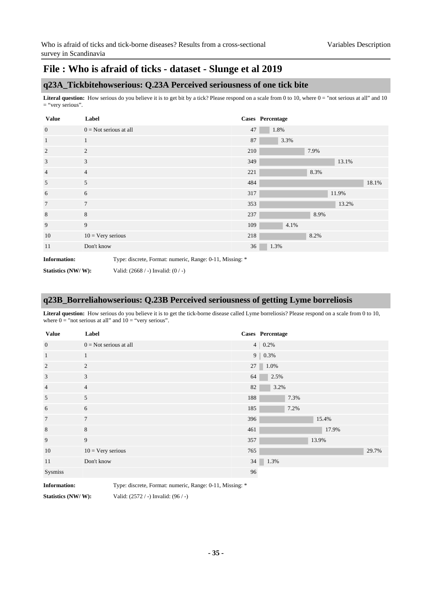### <span id="page-34-0"></span>**q23A\_Tickbitehowserious: Q.23A Perceived seriousness of one tick bite**

Literal question: How serious do you believe it is to get bit by a tick? Please respond on a scale from 0 to 10, where  $0 =$  "not serious at all" and 10 = "very serious".

| <b>Value</b>        | Label                    |                                                          |     | <b>Cases</b> Percentage |      |       |       |
|---------------------|--------------------------|----------------------------------------------------------|-----|-------------------------|------|-------|-------|
| $\overline{0}$      | $0 = Not$ serious at all |                                                          | 47  | 1.8%                    |      |       |       |
| $\mathbf{1}$        | 1                        |                                                          | 87  | 3.3%                    |      |       |       |
| $\overline{2}$      | 2                        |                                                          | 210 |                         | 7.9% |       |       |
| 3                   | 3                        |                                                          | 349 |                         |      | 13.1% |       |
| $\overline{4}$      | $\overline{4}$           |                                                          | 221 |                         | 8.3% |       |       |
| 5                   | 5                        |                                                          | 484 |                         |      |       | 18.1% |
| 6                   | 6                        |                                                          | 317 |                         |      | 11.9% |       |
| $7\phantom{.0}$     | $\tau$                   |                                                          | 353 |                         |      | 13.2% |       |
| $\,8\,$             | 8                        |                                                          | 237 |                         | 8.9% |       |       |
| 9                   | 9                        |                                                          | 109 | 4.1%                    |      |       |       |
| 10                  | $10 = V$ ery serious     |                                                          | 218 |                         | 8.2% |       |       |
| 11                  | Don't know               |                                                          | 36  | 1.3%                    |      |       |       |
| <b>Information:</b> |                          | Type: discrete, Format: numeric, Range: 0-11, Missing: * |     |                         |      |       |       |
| Statistics (NW/W):  |                          | Valid: $(2668 / -)$ Invalid: $(0 / -)$                   |     |                         |      |       |       |

### <span id="page-34-1"></span>**q23B\_Borreliahowserious: Q.23B Perceived seriousness of getting Lyme borreliosis**

Literal question: How serious do you believe it is to get the tick-borne disease called Lyme borreliosis? Please respond on a scale from 0 to 10, where  $0 =$  "not serious at all" and  $10 =$  "very serious".

| <b>Value</b>     | Label                    |     | Cases Percentage     |
|------------------|--------------------------|-----|----------------------|
| $\mathbf{0}$     | $0 = Not$ serious at all |     | $4   0.2\%$          |
| $\mathbf{1}$     | $\mathbf{1}$             |     | $9   0.3\%$          |
| 2                | 2                        |     | $27 \parallel 1.0\%$ |
| $\mathfrak{Z}$   | 3                        | 64  | 2.5%                 |
| $\overline{4}$   | $\overline{4}$           | 82  | 3.2%                 |
| 5                | 5                        | 188 | 7.3%                 |
| 6                | 6                        | 185 | 7.2%                 |
| $\boldsymbol{7}$ | $\overline{7}$           | 396 | 15.4%                |
| $\,8\,$          | 8                        | 461 | 17.9%                |
| 9                | 9                        | 357 | 13.9%                |
| 10               | $10 = V$ ery serious     | 765 | 29.7%                |
| 11               | Don't know               | 34  | 1.3%                 |
| Sysmiss          |                          | 96  |                      |

**Information:** Type: discrete, Format: numeric, Range: 0-11, Missing: \*

**Statistics (NW/ W):** Valid: (2572 / -) Invalid: (96 / -)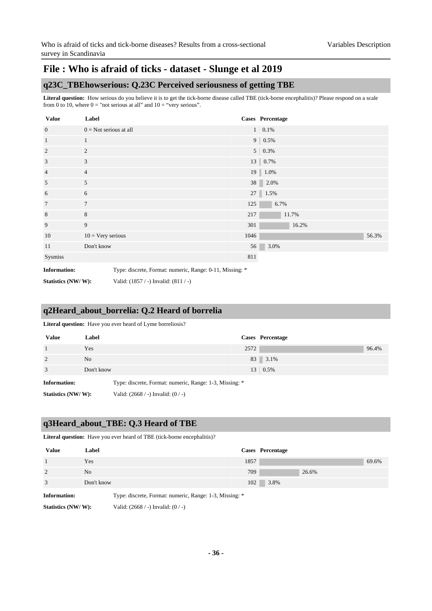### <span id="page-35-0"></span>**q23C\_TBEhowserious: Q.23C Perceived seriousness of getting TBE**

**Literal question:** How serious do you believe it is to get the tick-borne disease called TBE (tick-borne encephalitis)? Please respond on a scale from 0 to 10, where  $0 =$  "not serious at all" and  $10 =$  "very serious".

| <b>Value</b>        | Label                                                    |      | Cases Percentage     |       |       |
|---------------------|----------------------------------------------------------|------|----------------------|-------|-------|
| $\mathbf{0}$        | $0 = Not$ serious at all                                 |      | $1 \,   \, 0.1\%$    |       |       |
| $\mathbf{1}$        | $\mathbf{1}$                                             |      | $9   0.5\%$          |       |       |
| $\overline{2}$      | $\overline{c}$                                           |      | $5   0.3\%$          |       |       |
| $\mathfrak{Z}$      | 3                                                        |      | 13 0.7%              |       |       |
| $\overline{4}$      | $\overline{4}$                                           |      | 19   1.0%            |       |       |
| 5                   | 5                                                        |      | 38 2.0%              |       |       |
| 6                   | 6                                                        |      | $27 \parallel 1.5\%$ |       |       |
| $\overline{7}$      | $\overline{7}$                                           | 125  | 6.7%                 |       |       |
| 8                   | 8                                                        | 217  |                      | 11.7% |       |
| 9                   | 9                                                        | 301  |                      | 16.2% |       |
| 10                  | $10 = V$ ery serious                                     | 1046 |                      |       | 56.3% |
| 11                  | Don't know                                               | 56   | 3.0%                 |       |       |
| Sysmiss             |                                                          | 811  |                      |       |       |
| <b>Information:</b> | Type: discrete, Format: numeric, Range: 0-11, Missing: * |      |                      |       |       |

**Statistics (NW/ W):** Valid: (1857 / -) Invalid: (811 / -)

### <span id="page-35-1"></span>**q2Heard\_about\_borrelia: Q.2 Heard of borrelia**

**Literal question:** Have you ever heard of Lyme borreliosis?

| <b>Value</b>        | Label          |                                                         |      | Cases Percentage |       |
|---------------------|----------------|---------------------------------------------------------|------|------------------|-------|
|                     | Yes            |                                                         | 2572 |                  | 96.4% |
| 2                   | N <sub>o</sub> |                                                         |      | 83 3.1%          |       |
| 3                   | Don't know     |                                                         |      | $13 \mid 0.5\%$  |       |
| <b>Information:</b> |                | Type: discrete, Format: numeric, Range: 1-3, Missing: * |      |                  |       |
| Statistics (NW/W):  |                | Valid: $(2668 / -)$ Invalid: $(0 / -)$                  |      |                  |       |

### <span id="page-35-2"></span>**q3Heard\_about\_TBE: Q.3 Heard of TBE**

Literal question: Have you ever heard of TBE (tick-borne encephalitis)?

| <b>Value</b>        | Label                                                   |      | Cases Percentage |
|---------------------|---------------------------------------------------------|------|------------------|
|                     | Yes                                                     | 1857 | 69.6%            |
| $\overline{2}$      | N <sub>0</sub>                                          | 709  | 26.6%            |
| 3                   | Don't know                                              | 102  | 3.8%             |
| <b>Information:</b> | Type: discrete, Format: numeric, Range: 1-3, Missing: * |      |                  |

**Statistics (NW/ W):** Valid: (2668 / -) Invalid: (0 / -)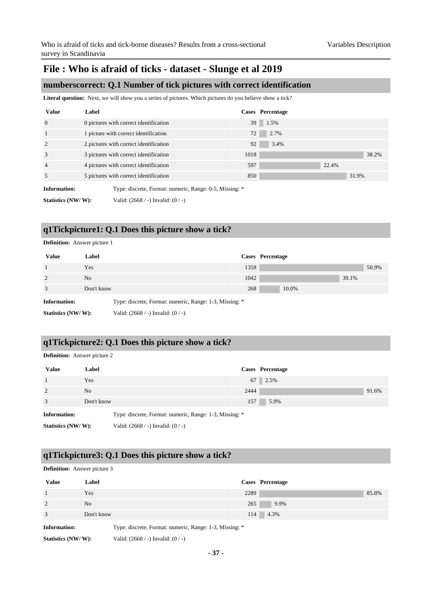#### <span id="page-36-0"></span>**numberscorrect: Q.1 Number of tick pictures with correct identification**

**Literal question:** Next, we will show you a series of pictures. Which pictures do you believe show a tick?

| <b>Value</b>       | Label                                                   |      | Cases Percentage |       |
|--------------------|---------------------------------------------------------|------|------------------|-------|
| $\overline{0}$     | 0 pictures with correct identification                  | 39   | 1.5%             |       |
| $\mathbf{1}$       | 1 picture with correct identification                   | 72   | 2.7%             |       |
| 2                  | 2 pictures with correct identification                  | 92   | 3.4%             |       |
| 3                  | 3 pictures with correct identification                  | 1018 |                  | 38.2% |
| $\overline{4}$     | 4 pictures with correct identification                  | 597  | 22.4%            |       |
| 5                  | 5 pictures with correct identification                  | 850  |                  | 31.9% |
| Information:       | Type: discrete, Format: numeric, Range: 0-5, Missing: * |      |                  |       |
| Statistics (NW/W): | Valid: $(2668 / -)$ Invalid: $(0 / -)$                  |      |                  |       |

### <span id="page-36-1"></span>**q1Tickpicture1: Q.1 Does this picture show a tick?**

| <b>Definition:</b> Answer picture 1 |            |                                                         |      |                  |       |  |
|-------------------------------------|------------|---------------------------------------------------------|------|------------------|-------|--|
| <b>Value</b>                        | Label      |                                                         |      | Cases Percentage |       |  |
| $\mathbf{1}$                        | Yes        |                                                         | 1358 |                  | 50.9% |  |
| $\overline{2}$                      | No.        |                                                         | 1042 | 39.1%            |       |  |
| 3                                   | Don't know |                                                         | 268  | 10.0%            |       |  |
| <b>Information:</b>                 |            | Type: discrete, Format: numeric, Range: 1-3, Missing: * |      |                  |       |  |
| Statistics (NW/W):                  |            | Valid: $(2668 / -)$ Invalid: $(0 / -)$                  |      |                  |       |  |

### <span id="page-36-2"></span>**q1Tickpicture2: Q.1 Does this picture show a tick?**

**Definition:** Answer picture 2

| <b>Value</b>       | Label          |                                                         |      | Cases Percentage |       |
|--------------------|----------------|---------------------------------------------------------|------|------------------|-------|
|                    | Yes            |                                                         |      | 67 2.5%          |       |
| 2                  | N <sub>o</sub> |                                                         | 2444 |                  | 91.6% |
| 3                  | Don't know     |                                                         | 157  | 5.9%             |       |
| Information:       |                | Type: discrete, Format: numeric, Range: 1-3, Missing: * |      |                  |       |
| Statistics (NW/W): |                | Valid: $(2668 / -)$ Invalid: $(0 / -)$                  |      |                  |       |

### <span id="page-36-3"></span>**q1Tickpicture3: Q.1 Does this picture show a tick?**

**Definition:** Answer picture 3 **Value Label Cases Percentage**  $1 \text{ }$  Yes  $2289 \text{ }$  85.8% 2 No 265 9.9% 3 Don't know 114 4.3% **Information:** Type: discrete, Format: numeric, Range: 1-3, Missing: \* **Statistics (NW/ W):** Valid: (2668 / -) Invalid: (0 / -)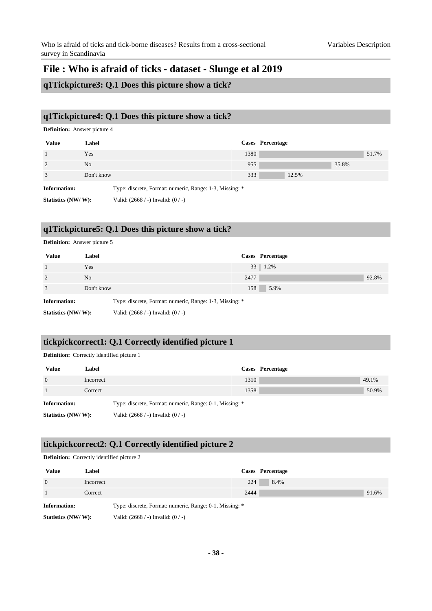**q1Tickpicture3: Q.1 Does this picture show a tick?**

### <span id="page-37-0"></span>**q1Tickpicture4: Q.1 Does this picture show a tick?**

**Definition:** Answer picture 4

| Value               | Label          |                                                         |      | Cases Percentage |       |       |       |
|---------------------|----------------|---------------------------------------------------------|------|------------------|-------|-------|-------|
|                     | Yes            |                                                         | 1380 |                  |       |       | 51.7% |
| 2                   | N <sub>o</sub> |                                                         | 955  |                  |       | 35.8% |       |
| 3                   | Don't know     |                                                         | 333  |                  | 12.5% |       |       |
| <b>Information:</b> |                | Type: discrete, Format: numeric, Range: 1-3, Missing: * |      |                  |       |       |       |
| Statistics (NW/W):  |                | Valid: $(2668 / -)$ Invalid: $(0 / -)$                  |      |                  |       |       |       |

### <span id="page-37-1"></span>**q1Tickpicture5: Q.1 Does this picture show a tick?**

| <b>Definition:</b> Answer picture 5 |                |                                                         |      |                  |       |  |  |
|-------------------------------------|----------------|---------------------------------------------------------|------|------------------|-------|--|--|
| <b>Value</b>                        | Label          |                                                         |      | Cases Percentage |       |  |  |
| $\mathbf{1}$                        | Yes            |                                                         |      | $33 \mid 1.2\%$  |       |  |  |
| 2                                   | N <sub>o</sub> |                                                         | 2477 |                  | 92.8% |  |  |
| 3                                   | Don't know     |                                                         | 158  | 5.9%             |       |  |  |
| <b>Information:</b>                 |                | Type: discrete, Format: numeric, Range: 1-3, Missing: * |      |                  |       |  |  |
| Statistics (NW/W):                  |                | Valid: $(2668 / -)$ Invalid: $(0 / -)$                  |      |                  |       |  |  |

### <span id="page-37-2"></span>**tickpickcorrect1: Q.1 Correctly identified picture 1**

**Definition:** Correctly identified picture 1

| <b>Value</b>        | Label     |                                                         | Cases Percentage |       |
|---------------------|-----------|---------------------------------------------------------|------------------|-------|
| $\Omega$            | Incorrect | 1310                                                    |                  | 49.1% |
|                     | Correct   | 1358                                                    |                  | 50.9% |
| <b>Information:</b> |           | Type: discrete, Format: numeric, Range: 0-1, Missing: * |                  |       |
| Statistics (NW/W):  |           | Valid: $(2668 / -)$ Invalid: $(0 / -)$                  |                  |       |

### <span id="page-37-3"></span>**tickpickcorrect2: Q.1 Correctly identified picture 2**

| <b>Definition:</b> Correctly identified picture 2 |  |  |  |
|---------------------------------------------------|--|--|--|
|---------------------------------------------------|--|--|--|

| <b>Value</b>       | Label     | Cases Percentage                                        |       |
|--------------------|-----------|---------------------------------------------------------|-------|
| $\Omega$           | Incorrect | 8.4%<br>224                                             |       |
|                    | Correct   | 2444                                                    | 91.6% |
| Information:       |           | Type: discrete, Format: numeric, Range: 0-1, Missing: * |       |
| Statistics (NW/W): |           | Valid: $(2668 / -)$ Invalid: $(0 / -)$                  |       |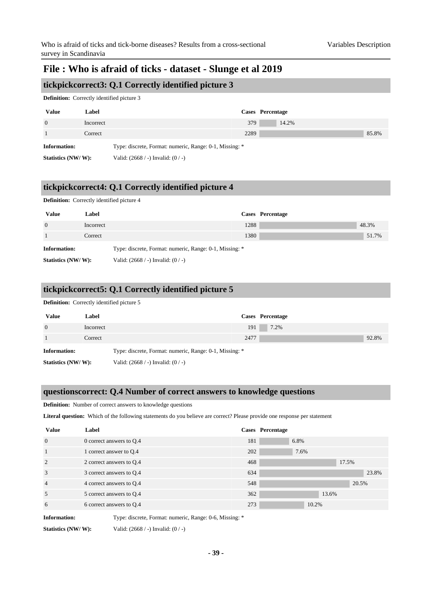### <span id="page-38-0"></span>**tickpickcorrect3: Q.1 Correctly identified picture 3**

**Definition:** Correctly identified picture 3

| <b>Value</b>       | Label     | Cases Percentage                                        |       |
|--------------------|-----------|---------------------------------------------------------|-------|
| $\Omega$           | Incorrect | 379<br>14.2%                                            |       |
|                    | Correct   | 2289                                                    | 85.8% |
| Information:       |           | Type: discrete, Format: numeric, Range: 0-1, Missing: * |       |
| Statistics (NW/W): |           | Valid: $(2668 / -)$ Invalid: $(0 / -)$                  |       |

### <span id="page-38-1"></span>**tickpickcorrect4: Q.1 Correctly identified picture 4**

**Definition:** Correctly identified picture 4

| <b>Value</b>        | Label     |                                                         | Cases Percentage |       |
|---------------------|-----------|---------------------------------------------------------|------------------|-------|
| $\overline{0}$      | Incorrect | 1288                                                    |                  | 48.3% |
|                     | Correct   | 1380                                                    |                  | 51.7% |
| <b>Information:</b> |           | Type: discrete, Format: numeric, Range: 0-1, Missing: * |                  |       |
| Statistics (NW/W):  |           | Valid: $(2668 / -)$ Invalid: $(0 / -)$                  |                  |       |

#### <span id="page-38-2"></span>**tickpickcorrect5: Q.1 Correctly identified picture 5**

**Definition:** Correctly identified picture 5

| <b>Value</b>        | Label     |                                                         |      | Cases Percentage |       |
|---------------------|-----------|---------------------------------------------------------|------|------------------|-------|
| $\overline{0}$      | Incorrect |                                                         | 191  | 7.2%             |       |
|                     | Correct   |                                                         | 2477 |                  | 92.8% |
| <b>Information:</b> |           | Type: discrete, Format: numeric, Range: 0-1, Missing: * |      |                  |       |
| Statistics (NW/W):  |           | Valid: $(2668 / -)$ Invalid: $(0 / -)$                  |      |                  |       |

#### <span id="page-38-3"></span>**questionscorrect: Q.4 Number of correct answers to knowledge questions**

**Definition:** Number of correct answers to knowledge questions

**Literal question:** Which of the following statements do you believe are correct? Please provide one response per statement

| <b>Value</b>        | Label                                                   |     | <b>Cases</b> Percentage |       |
|---------------------|---------------------------------------------------------|-----|-------------------------|-------|
| $\overline{0}$      | 0 correct answers to Q.4                                | 181 | 6.8%                    |       |
| $\overline{1}$      | 1 correct answer to Q.4                                 | 202 | 7.6%                    |       |
| $\overline{2}$      | 2 correct answers to Q.4                                | 468 | 17.5%                   |       |
| 3                   | 3 correct answers to Q.4                                | 634 |                         | 23.8% |
| $\overline{4}$      | 4 correct answers to Q.4                                | 548 |                         | 20.5% |
| 5                   | 5 correct answers to Q.4                                | 362 | 13.6%                   |       |
| 6                   | 6 correct answers to Q.4                                | 273 | 10.2%                   |       |
| <b>Information:</b> | Type: discrete, Format: numeric, Range: 0-6, Missing: * |     |                         |       |

**Statistics (NW/ W):** Valid: (2668 / -) Invalid: (0 / -)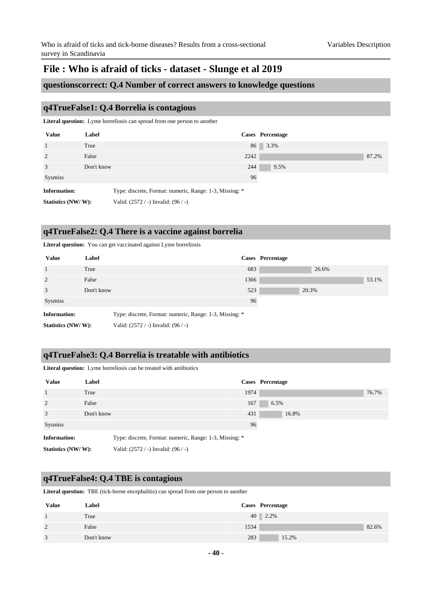**questionscorrect: Q.4 Number of correct answers to knowledge questions**

### <span id="page-39-0"></span>**q4TrueFalse1: Q.4 Borrelia is contagious**

**Literal question:** Lyme borreliosis can spread from one person to another

| <b>Value</b>        | Label      |                                                         |      |         | Cases Percentage |       |
|---------------------|------------|---------------------------------------------------------|------|---------|------------------|-------|
| $\mathbf{1}$        | True       |                                                         |      | 86 3.3% |                  |       |
| 2                   | False      |                                                         | 2242 |         |                  | 87.2% |
| 3                   | Don't know |                                                         | 244  |         | 9.5%             |       |
| Sysmiss             |            |                                                         | 96   |         |                  |       |
| <b>Information:</b> |            | Type: discrete, Format: numeric, Range: 1-3, Missing: * |      |         |                  |       |
| Statistics (NW/W):  |            | Valid: $(2572 / -)$ Invalid: $(96 / -)$                 |      |         |                  |       |

### <span id="page-39-1"></span>**q4TrueFalse2: Q.4 There is a vaccine against borrelia**

**Literal question:** You can get vaccinated against Lyme borreliosis

| <b>Value</b>        | Label      |                                                         |      | Cases Percentage |       |       |
|---------------------|------------|---------------------------------------------------------|------|------------------|-------|-------|
| <sup>1</sup>        | True       |                                                         | 683  |                  | 26.6% |       |
| 2                   | False      |                                                         | 1366 |                  |       | 53.1% |
| 3                   | Don't know |                                                         | 523  |                  | 20.3% |       |
| Sysmiss             |            |                                                         | 96   |                  |       |       |
| <b>Information:</b> |            | Type: discrete, Format: numeric, Range: 1-3, Missing: * |      |                  |       |       |
| Statistics (NW/W):  |            | Valid: (2572 / -) Invalid: (96 / -)                     |      |                  |       |       |

### <span id="page-39-2"></span>**q4TrueFalse3: Q.4 Borrelia is treatable with antibiotics**

**Literal question:** Lyme borreliosis can be treated with antibiotics

| <b>Value</b>        | Label      |                                                         |      | Cases Percentage |       |
|---------------------|------------|---------------------------------------------------------|------|------------------|-------|
| $\mathbf{1}$        | True       |                                                         | 1974 |                  | 76.7% |
| 2                   | False      |                                                         | 167  | 6.5%             |       |
| 3                   | Don't know |                                                         | 431  | 16.8%            |       |
| Sysmiss             |            |                                                         | 96   |                  |       |
| <b>Information:</b> |            | Type: discrete, Format: numeric, Range: 1-3, Missing: * |      |                  |       |
| Statistics (NW/W):  |            | Valid: $(2572 / -)$ Invalid: $(96 / -)$                 |      |                  |       |

### <span id="page-39-3"></span>**q4TrueFalse4: Q.4 TBE is contagious**

Literal question: TBE (tick-borne encephalitis) can spread from one person to another

| Value | Label      | Cases Percentage |       |
|-------|------------|------------------|-------|
|       | True       | $40 \ 2.2\%$     |       |
| 2     | False      | 1534             | 82.6% |
| 3     | Don't know | 283<br>15.2%     |       |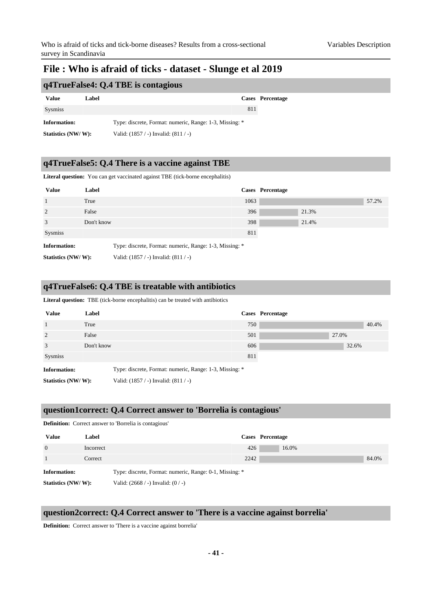| q4TrueFalse4: Q.4 TBE is contagious |       |                                                         |                  |  |  |
|-------------------------------------|-------|---------------------------------------------------------|------------------|--|--|
| Value                               | Label |                                                         | Cases Percentage |  |  |
| Sysmiss                             |       | 811                                                     |                  |  |  |
| <b>Information:</b>                 |       | Type: discrete, Format: numeric, Range: 1-3, Missing: * |                  |  |  |
| Statistics (NW/W):                  |       | Valid: $(1857 / -)$ Invalid: $(811 / -)$                |                  |  |  |

### <span id="page-40-0"></span>**q4TrueFalse5: Q.4 There is a vaccine against TBE**

**Literal question:** You can get vaccinated against TBE (tick-borne encephalitis)

| <b>Value</b>        | Label      |                                                         |      | Cases Percentage |       |       |
|---------------------|------------|---------------------------------------------------------|------|------------------|-------|-------|
| <sup>1</sup>        | True       |                                                         | 1063 |                  |       | 57.2% |
| 2                   | False      |                                                         | 396  |                  | 21.3% |       |
| $\overline{3}$      | Don't know |                                                         | 398  |                  | 21.4% |       |
| Sysmiss             |            |                                                         | 811  |                  |       |       |
| <b>Information:</b> |            | Type: discrete, Format: numeric, Range: 1-3, Missing: * |      |                  |       |       |
| Statistics (NW/W):  |            | Valid: (1857 / -) Invalid: (811 / -)                    |      |                  |       |       |

### <span id="page-40-1"></span>**q4TrueFalse6: Q.4 TBE is treatable with antibiotics**

Literal question: TBE (tick-borne encephalitis) can be treated with antibiotics

| <b>Value</b>        | Label      |                                                         |     | Cases Percentage |       |       |
|---------------------|------------|---------------------------------------------------------|-----|------------------|-------|-------|
|                     | True       |                                                         | 750 |                  |       | 40.4% |
| 2                   | False      |                                                         | 501 |                  | 27.0% |       |
| 3                   | Don't know |                                                         | 606 |                  | 32.6% |       |
| Sysmiss             |            |                                                         | 811 |                  |       |       |
| <b>Information:</b> |            | Type: discrete, Format: numeric, Range: 1-3, Missing: * |     |                  |       |       |
| Statistics (NW/W):  |            | Valid: $(1857 / -)$ Invalid: $(811 / -)$                |     |                  |       |       |

#### <span id="page-40-2"></span>**question1correct: Q.4 Correct answer to 'Borrelia is contagious'**

#### **Definition:** Correct answer to 'Borrelia is contagious'

| <b>Value</b>        | Label     |                                                         | Cases Percentage |       |       |
|---------------------|-----------|---------------------------------------------------------|------------------|-------|-------|
| $\Omega$            | Incorrect | 426                                                     |                  | 16.0% |       |
|                     | Correct   | 2242                                                    |                  |       | 84.0% |
| <b>Information:</b> |           | Type: discrete, Format: numeric, Range: 0-1, Missing: * |                  |       |       |
| Statistics (NW/W):  |           | Valid: $(2668 / -)$ Invalid: $(0 / -)$                  |                  |       |       |

## <span id="page-40-3"></span>**question2correct: Q.4 Correct answer to 'There is a vaccine against borrelia'**

**Definition:** Correct answer to 'There is a vaccine against borrelia'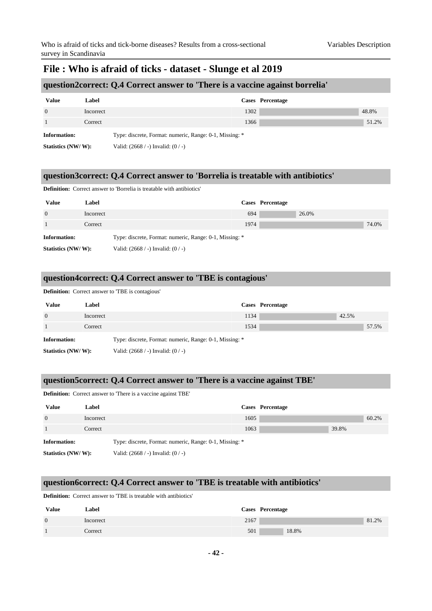### **question2correct: Q.4 Correct answer to 'There is a vaccine against borrelia'**

| <b>Value</b>       | Label     |                                                         |      | Cases Percentage |       |
|--------------------|-----------|---------------------------------------------------------|------|------------------|-------|
| $\Omega$           | Incorrect |                                                         | 1302 |                  | 48.8% |
|                    | Correct   |                                                         | 1366 |                  | 51.2% |
| Information:       |           | Type: discrete, Format: numeric, Range: 0-1, Missing: * |      |                  |       |
| Statistics (NW/W): |           | Valid: $(2668 / -)$ Invalid: $(0 / -)$                  |      |                  |       |

### <span id="page-41-0"></span>**question3correct: Q.4 Correct answer to 'Borrelia is treatable with antibiotics'**

**Definition:** Correct answer to 'Borrelia is treatable with antibiotics'

| <b>Value</b>        | Label     |                                                         |      | Cases Percentage |  |
|---------------------|-----------|---------------------------------------------------------|------|------------------|--|
| $\overline{0}$      | Incorrect |                                                         | 694  | 26.0%            |  |
|                     | Correct   |                                                         | 1974 | 74.0%            |  |
| <b>Information:</b> |           | Type: discrete, Format: numeric, Range: 0-1, Missing: * |      |                  |  |
| Statistics (NW/W):  |           | Valid: $(2668 / -)$ Invalid: $(0 / -)$                  |      |                  |  |

### <span id="page-41-1"></span>**question4correct: Q.4 Correct answer to 'TBE is contagious'**

|                     | <b>Definition:</b> Correct answer to <b>TBE</b> is contagious' |                                                         |      |                  |       |       |  |  |
|---------------------|----------------------------------------------------------------|---------------------------------------------------------|------|------------------|-------|-------|--|--|
| <b>Value</b>        | Label                                                          |                                                         |      | Cases Percentage |       |       |  |  |
| $\Omega$            | Incorrect                                                      |                                                         | 1134 |                  | 42.5% |       |  |  |
|                     | Correct                                                        |                                                         | 1534 |                  |       | 57.5% |  |  |
| <b>Information:</b> |                                                                | Type: discrete, Format: numeric, Range: 0-1, Missing: * |      |                  |       |       |  |  |
| Statistics (NW/W):  |                                                                | Valid: $(2668 / -)$ Invalid: $(0 / -)$                  |      |                  |       |       |  |  |

### <span id="page-41-2"></span>**question5correct: Q.4 Correct answer to 'There is a vaccine against TBE'**

**Definition:** Correct answer to 'There is a vaccine against TBE' **Value Label Cases Percentage**  $0 \qquad \qquad$  Incorrect  $\qquad \qquad$  1605 60.2% 1 Correct 2003 39.8% and 2003 39.8% and 2003 39.8% and 2003 39.8% and 2003 39.8% and 2003 39.8% and 2003 39.8% **Information:** Type: discrete, Format: numeric, Range: 0-1, Missing: \* **Statistics (NW/ W):** Valid: (2668 / -) Invalid: (0 / -)

### <span id="page-41-3"></span>**question6correct: Q.4 Correct answer to 'TBE is treatable with antibiotics'**

**Definition:** Correct answer to 'TBE is treatable with antibiotics'

| <b>Value</b>   | Label     |      | Cases Percentage |       |
|----------------|-----------|------|------------------|-------|
| $\overline{0}$ | Incorrect | 2167 |                  | 81.2% |
|                | Correct   | 501  | 18.8%            |       |